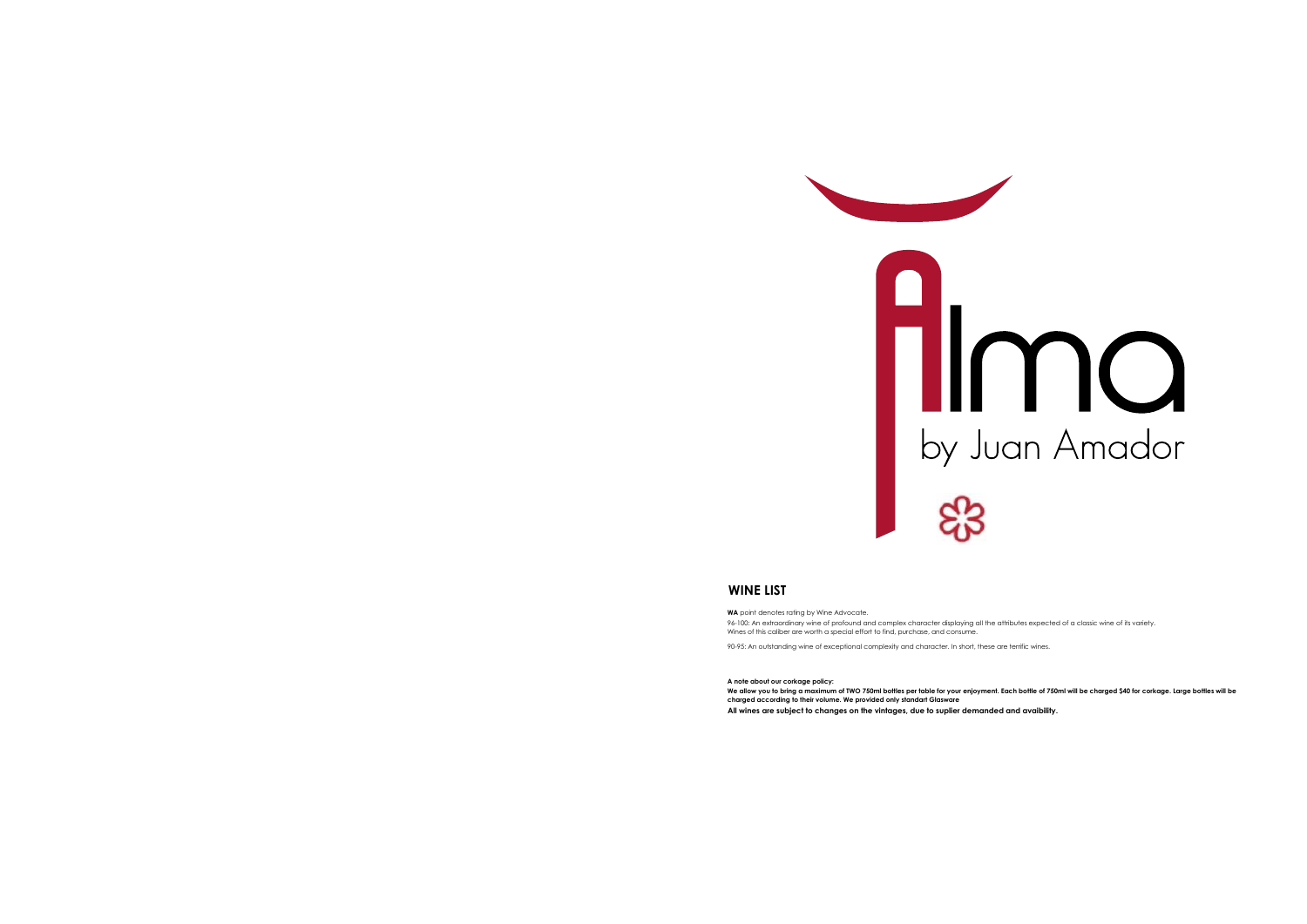

### **WINE LIST**

**All wines are subject to changes on the vintages, due to suplier demanded and avaibility.** We allow you to bring a maximum of TWO 750ml bottles per table for your enjoyment. Each bottle of 750ml will be charged \$40 for corkage. Large bottles will be<br>charged according to their volume. We provided only standart Gl

# Inno by Juan Amador

**A note about our corkage policy:**

**WA** point denotes rating by Wine Advocate. 96-100: An extraordinary wine of profound and complex character displaying all the attributes expected of a classic wine of its variety. Wines of this caliber are worth a special effort to find, purchase, and consume.

90-95: An outstanding wine of exceptional complexity and character. In short, these are terrific wines.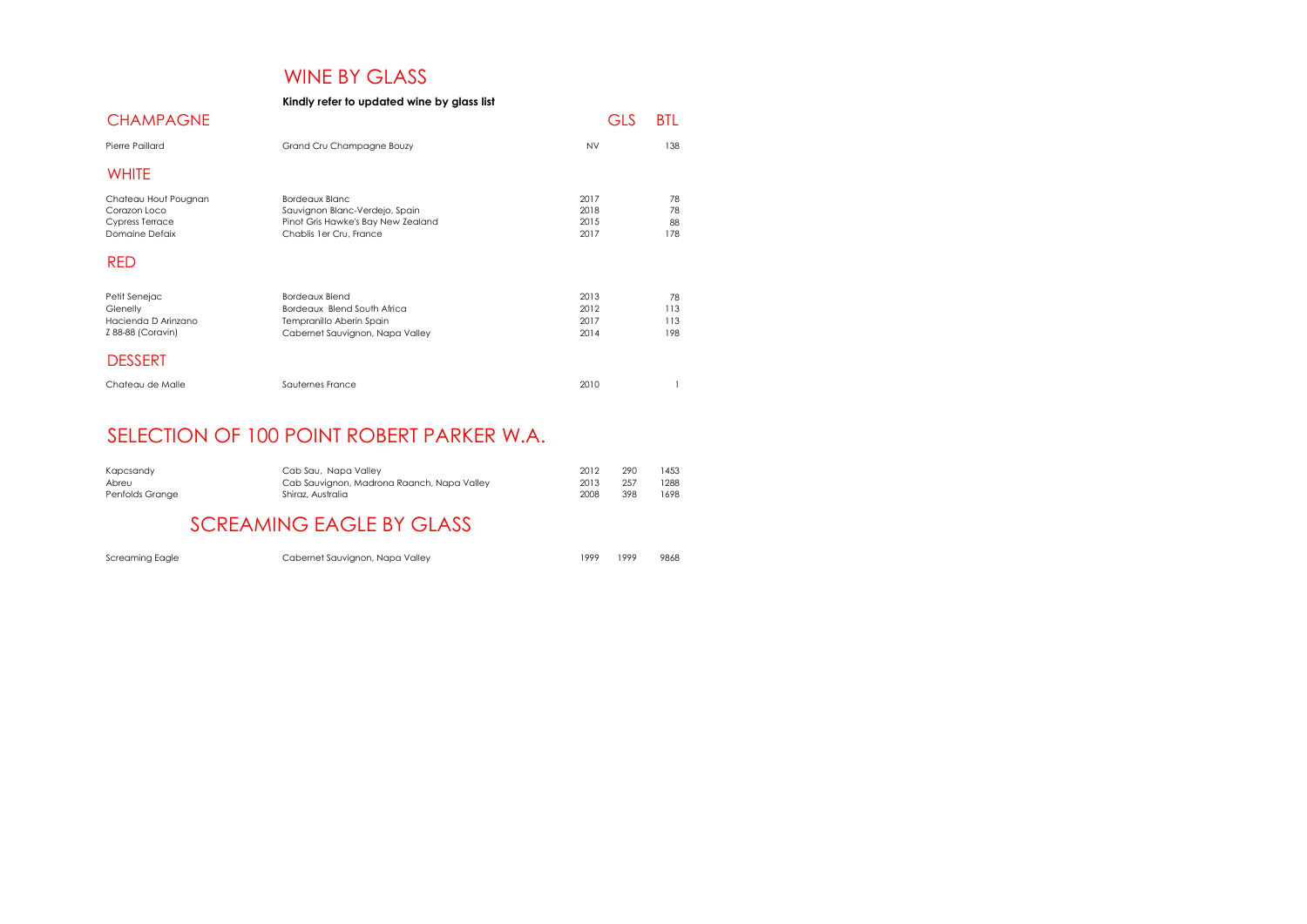## **Kindly refer to updated wine by glass list**

| <b>CHAMPAGNE</b>                                                                               |                                                                                                                          |                              | GLS | <b>BTL</b>              |
|------------------------------------------------------------------------------------------------|--------------------------------------------------------------------------------------------------------------------------|------------------------------|-----|-------------------------|
| Pierre Paillard                                                                                | Grand Cru Champagne Bouzy                                                                                                | <b>NV</b>                    |     | 138                     |
| <b>WHITE</b>                                                                                   |                                                                                                                          |                              |     |                         |
| Chateau Hout Pougnan<br>Corazon Loco<br><b>Cypress Terrace</b><br>Domaine Defaix<br><b>RED</b> | <b>Bordeaux Blanc</b><br>Sauvignon Blanc-Verdejo, Spain<br>Pinot Gris Hawke's Bay New Zealand<br>Chablis 1er Cru, France | 2017<br>2018<br>2015<br>2017 |     | 78<br>78<br>88<br>178   |
|                                                                                                |                                                                                                                          |                              |     |                         |
| Petit Senejac<br>Glenelly<br>Hacienda D Arinzano<br>Z 88-88 (Coravin)                          | <b>Bordeaux Blend</b><br>Bordeaux Blend South Africa<br>Tempranillo Aberin Spain<br>Cabernet Sauvignon, Napa Valley      | 2013<br>2012<br>2017<br>2014 |     | 78<br>113<br>113<br>198 |
| <b>DESSERT</b>                                                                                 |                                                                                                                          |                              |     |                         |
| Chateau de Malle                                                                               | Sauternes France                                                                                                         | 2010                         |     |                         |

# SELECTION OF 100 POINT ROBERT PARKER W.A.

| Kapcsandy       | Cab Sau, Napa Valley                       | 2012 | 290 | 453 |
|-----------------|--------------------------------------------|------|-----|-----|
| Abreu           | Cab Sauvignon, Madrona Raanch, Napa Valley | 2013 | 257 | 288 |
| Penfolds Grange | Shiraz, Australia                          | 2008 | 398 | 698 |
|                 |                                            |      |     |     |

# SCREAMING EAGLE BY GLASS

| Screaming Eagle | Cabernet Sauvignon, Napa Valley | 1999 | 1999 | 9868 |
|-----------------|---------------------------------|------|------|------|
|-----------------|---------------------------------|------|------|------|

# WINE BY GLASS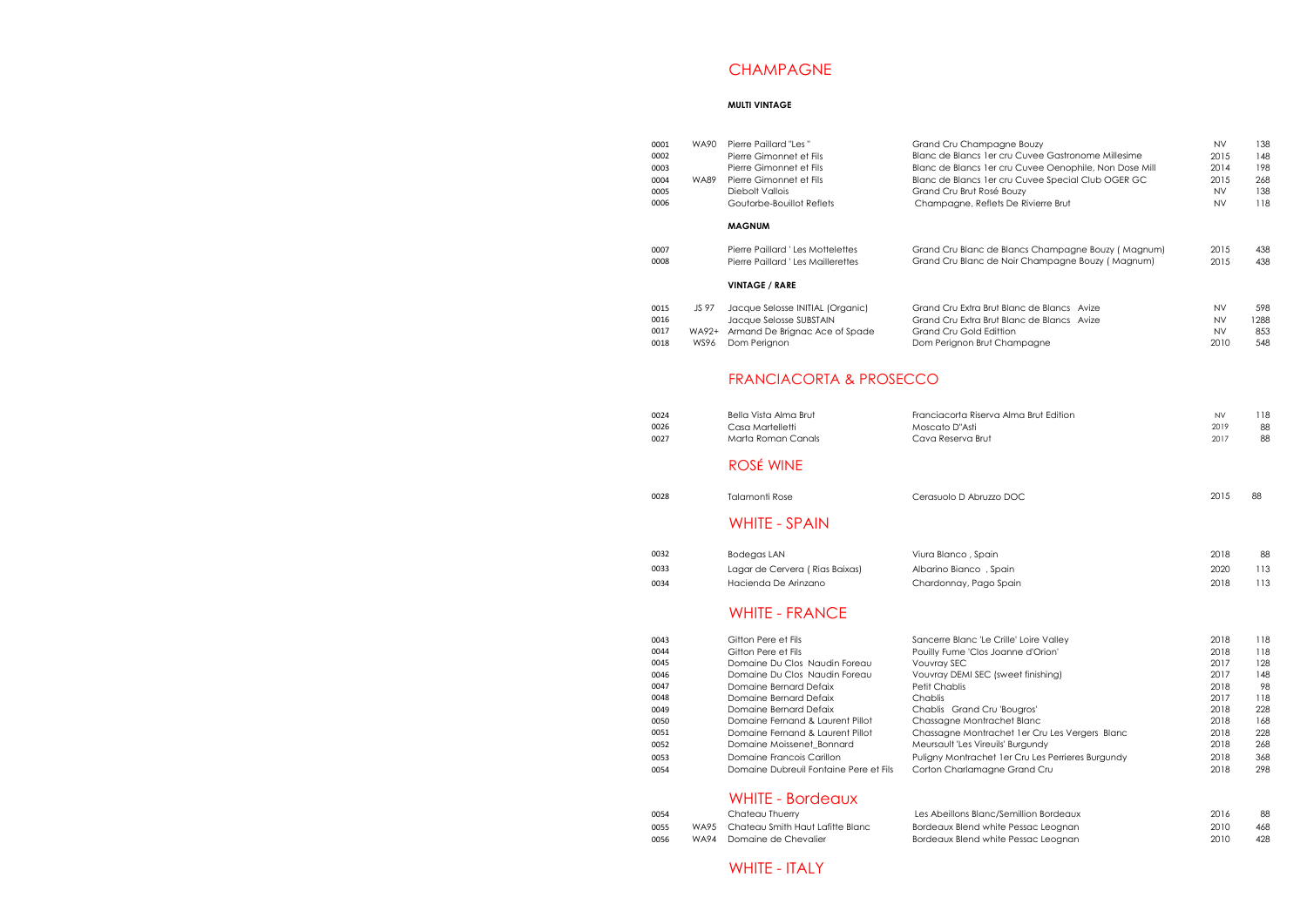# CHAMPAGNE

## **MULTI VINTAGE**

| 0001<br>0002<br>0003<br>0004<br>0005<br>0006 | <b>WA90</b><br><b>WA89</b>    | Pierre Paillard "Les"<br>Pierre Gimonnet et Fils<br>Pierre Gimonnet et Fils<br>Pierre Gimonnet et Fils<br>Diebolt Vallois<br>Goutorbe-Bouillot Reflets | Grand Cru Champagne Bouzy<br>Blanc de Blancs 1er cru Cuvee Gastronome Millesime<br>Blanc de Blancs 1er cru Cuvee Oenophile, Non Dose Mill<br>Blanc de Blancs 1er cru Cuvee Special Club OGER GC<br>Grand Cru Brut Rosé Bouzy<br>Champagne, Reflets De Rivierre Brut | NV.<br>2015<br>2014<br>2015<br><b>NV</b><br><b>NV</b> | 138<br>148<br>198<br>268<br>138<br>118 |
|----------------------------------------------|-------------------------------|--------------------------------------------------------------------------------------------------------------------------------------------------------|---------------------------------------------------------------------------------------------------------------------------------------------------------------------------------------------------------------------------------------------------------------------|-------------------------------------------------------|----------------------------------------|
|                                              |                               | <b>MAGNUM</b>                                                                                                                                          |                                                                                                                                                                                                                                                                     |                                                       |                                        |
| 0007<br>0008                                 |                               | Pierre Paillard 'Les Mottelettes<br>Pierre Paillard 'Les Maillerettes                                                                                  | Grand Cru Blanc de Blancs Champagne Bouzy (Magnum)<br>Grand Cru Blanc de Noir Champagne Bouzy (Magnum)                                                                                                                                                              | 2015<br>2015                                          | 438<br>438                             |
|                                              |                               | <b>VINTAGE / RARE</b>                                                                                                                                  |                                                                                                                                                                                                                                                                     |                                                       |                                        |
| 0015<br>0016<br>0017<br>0018                 | JS 97<br>WA92+<br><b>WS96</b> | Jacque Selosse INITIAL (Organic)<br>Jacque Selosse SUBSTAIN<br>Armand De Brignac Ace of Spade<br>Dom Perignon                                          | Grand Cru Extra Brut Blanc de Blancs Avize<br>Grand Cru Extra Brut Blanc de Blancs Avize<br>Grand Cru Gold Edittion<br>Dom Perignon Brut Champagne                                                                                                                  | <b>NV</b><br><b>NV</b><br><b>NV</b><br>2010           | 598<br>1288<br>853<br>548              |
|                                              |                               | <b>FRANCIACORTA &amp; PROSECCO</b>                                                                                                                     |                                                                                                                                                                                                                                                                     |                                                       |                                        |
| 0024<br>0026<br>0027                         |                               | Bella Vista Alma Brut<br>Casa Martelletti<br>Marta Roman Canals                                                                                        | Franciacorta Riserva Alma Brut Edition<br>Moscato D"Asti<br>Cava Reserva Brut                                                                                                                                                                                       | <b>NV</b><br>2019<br>2017                             | 118<br>88<br>88                        |
|                                              |                               | <b>ROSÉ WINE</b>                                                                                                                                       |                                                                                                                                                                                                                                                                     |                                                       |                                        |
| 0028                                         |                               | <b>Talamonti Rose</b>                                                                                                                                  | Cerasuolo D Abruzzo DOC                                                                                                                                                                                                                                             | 2015                                                  | 88                                     |
|                                              |                               | <b>WHITE - SPAIN</b>                                                                                                                                   |                                                                                                                                                                                                                                                                     |                                                       |                                        |
| 0032                                         |                               | <b>Bodegas LAN</b>                                                                                                                                     | Viura Blanco, Spain                                                                                                                                                                                                                                                 | 2018                                                  | 88                                     |
| 0033                                         |                               | Lagar de Cervera (Rias Baixas)                                                                                                                         | Albarino Bianco, Spain                                                                                                                                                                                                                                              | 2020                                                  | 113                                    |
| 0034                                         |                               | Hacienda De Arinzano                                                                                                                                   | Chardonnay, Pago Spain                                                                                                                                                                                                                                              | 2018                                                  | 113                                    |
|                                              |                               | <b>WHITE - FRANCE</b>                                                                                                                                  |                                                                                                                                                                                                                                                                     |                                                       |                                        |
| 0043<br>0044<br>0045<br>0046                 |                               | Gitton Pere et Fils<br>Gitton Pere et Fils<br>Domaine Du Clos Naudin Foreau<br>Domaine Du Clos Naudin Foreau                                           | Sancerre Blanc 'Le Crille' Loire Valley<br>Pouilly Fume 'Clos Joanne d'Orion'<br><b>Vouvray SEC</b><br>Vouvray DEMI SEC (sweet finishing)                                                                                                                           | 2018<br>2018<br>2017<br>2017                          | 118<br>118<br>128<br>148               |
| 0047<br>0048                                 |                               | Domaine Bernard Defaix<br>Domaine Bernard Defaix                                                                                                       | Petit Chablis<br>Chablis                                                                                                                                                                                                                                            | 2018<br>2017                                          | 98<br>118                              |
| 0049                                         |                               | Domaine Bernard Defaix                                                                                                                                 | Chablis Grand Cru 'Bougros'                                                                                                                                                                                                                                         | 2018                                                  | 228                                    |
| 0050                                         |                               | Domaine Fernand & Laurent Pillot                                                                                                                       | Chassagne Montrachet Blanc                                                                                                                                                                                                                                          | 2018                                                  | 168                                    |
| 0051<br>0052                                 |                               | Domaine Fernand & Laurent Pillot<br>Domaine Moissenet_Bonnard                                                                                          | Chassagne Montrachet 1er Cru Les Vergers Blanc<br>Meursault 'Les Vireuils' Burgundy                                                                                                                                                                                 | 2018<br>2018                                          | 228<br>268                             |
| 0053                                         |                               | Domaine Francois Carillon                                                                                                                              | Puligny Montrachet 1er Cru Les Perrieres Burgundy                                                                                                                                                                                                                   | 2018                                                  | 368                                    |
| 0054                                         |                               | Domaine Dubreuil Fontaine Pere et Fils                                                                                                                 | Corton Charlamagne Grand Cru                                                                                                                                                                                                                                        | 2018                                                  | 298                                    |
|                                              |                               | <b>WHITE - Bordeaux</b>                                                                                                                                |                                                                                                                                                                                                                                                                     |                                                       |                                        |
| 0054                                         |                               | Chateau Thuerry                                                                                                                                        | Les Abeillons Blanc/Semillion Bordeaux                                                                                                                                                                                                                              | 2016                                                  | 88                                     |
| 0055                                         | WA95                          | Chateau Smith Haut Lafitte Blanc                                                                                                                       | Bordeaux Blend white Pessac Leognan                                                                                                                                                                                                                                 | 2010                                                  | 468                                    |
| 0056                                         | <b>WA94</b>                   | Domaine de Chevalier                                                                                                                                   | Bordeaux Blend white Pessac Leognan                                                                                                                                                                                                                                 | 2010                                                  | 428                                    |

| Domaine Moissenet Bonnard |  |
|---------------------------|--|
| Domaine Francois Carillon |  |

| 0054 | Chateau Thuerry                       |
|------|---------------------------------------|
| 0055 | WA95 Chateau Smith Haut Lafitte Blanc |
| 0056 | WA94 Domaine de Chevalier             |

| 101<br>)02<br>ЮЗ<br>104<br>)05<br>106 | <b>WA90</b><br><b>WA89</b> | Pierre Paillard "Les"<br>Pierre Gimonnet et Fils<br>Pierre Gimonnet et Fils<br>Pierre Gimonnet et Fils<br><b>Diebolt Vallois</b><br>Goutorbe-Bouillot Reflets | Grand Cru Champagne Bouzy<br>Blanc de Blancs 1 er cru Cuvee Gastronome Millesime<br>Blanc de Blancs 1er cru Cuvee Oenophile, Non Dose Mill<br>Blanc de Blancs 1er cru Cuvee Special Club OGER GC<br>Grand Cru Brut Rosé Bouzy<br>Champagne, Reflets De Rivierre Brut | <b>NV</b><br>2015<br>2014<br>2015<br><b>NV</b><br>NV | 138<br>148<br>198<br>268<br>138<br>118 |
|---------------------------------------|----------------------------|---------------------------------------------------------------------------------------------------------------------------------------------------------------|----------------------------------------------------------------------------------------------------------------------------------------------------------------------------------------------------------------------------------------------------------------------|------------------------------------------------------|----------------------------------------|
|                                       |                            | <b>MAGNUM</b>                                                                                                                                                 |                                                                                                                                                                                                                                                                      |                                                      |                                        |
| 107<br>108                            |                            | Pierre Paillard 'Les Mottelettes<br>Pierre Paillard 'Les Maillerettes                                                                                         | Grand Cru Blanc de Blancs Champagne Bouzy (Magnum)<br>Grand Cru Blanc de Noir Champagne Bouzy (Magnum)                                                                                                                                                               | 2015<br>2015                                         | 438<br>438                             |
|                                       |                            | <b>VINTAGE / RARE</b>                                                                                                                                         |                                                                                                                                                                                                                                                                      |                                                      |                                        |
| 15<br>16<br>17<br>18                  | JS 97<br>WA92+<br>WS96     | Jacque Selosse INITIAL (Organic)<br>Jacque Selosse SUBSTAIN<br>Armand De Brignac Ace of Spade<br>Dom Perignon                                                 | Grand Cru Extra Brut Blanc de Blancs Avize<br>Grand Cru Extra Brut Blanc de Blancs Avize<br>Grand Cru Gold Edittion<br>Dom Perignon Brut Champagne                                                                                                                   | NV<br>NV<br>NV<br>2010                               | 598<br>1288<br>853<br>548              |
|                                       |                            | <b>FRANCIACORTA &amp; PROSECCO</b>                                                                                                                            |                                                                                                                                                                                                                                                                      |                                                      |                                        |
| 124<br>126<br>127                     |                            | Bella Vista Alma Brut<br>Casa Martelletti<br>Marta Roman Canals                                                                                               | Franciacorta Riserva Alma Brut Edition<br>Moscato D"Asti<br>Cava Reserva Brut                                                                                                                                                                                        | <b>NV</b><br>2019<br>2017                            | 118<br>88<br>88                        |
|                                       |                            | <b>ROSÉ WINE</b>                                                                                                                                              |                                                                                                                                                                                                                                                                      |                                                      |                                        |
| 128                                   |                            | Talamonti Rose                                                                                                                                                | Cerasuolo D Abruzzo DOC                                                                                                                                                                                                                                              | 2015                                                 | 88                                     |
|                                       |                            | <b>WHITE - SPAIN</b>                                                                                                                                          |                                                                                                                                                                                                                                                                      |                                                      |                                        |
| 132                                   |                            | <b>Bodegas LAN</b>                                                                                                                                            | Viura Blanco, Spain                                                                                                                                                                                                                                                  | 2018                                                 | 88                                     |
| 133                                   |                            | Lagar de Cervera (Rias Baixas)                                                                                                                                | Albarino Bianco, Spain                                                                                                                                                                                                                                               | 2020                                                 | 113                                    |
| 134                                   |                            | Hacienda De Arinzano                                                                                                                                          | Chardonnay, Pago Spain                                                                                                                                                                                                                                               | 2018                                                 | 113                                    |
|                                       |                            | <b>WHITE - FRANCE</b>                                                                                                                                         |                                                                                                                                                                                                                                                                      |                                                      |                                        |
| 143<br>144                            |                            | Gitton Pere et Fils<br>Gitton Pere et Fils<br>Domaine Du Clos Naudin Foreau                                                                                   | Sancerre Blanc 'Le Crille' Loire Valley<br>Pouilly Fume 'Clos Joanne d'Orion'<br><b>Vouvray SEC</b>                                                                                                                                                                  | 2018<br>2018<br>2017                                 | 118<br>118<br>128                      |
| 145<br>146                            |                            | Domaine Du Clos Naudin Foreau                                                                                                                                 | Vouvray DEMI SEC (sweet finishing)                                                                                                                                                                                                                                   | 2017                                                 | 148                                    |
| 147                                   |                            | Domaine Bernard Defaix                                                                                                                                        | <b>Petit Chablis</b>                                                                                                                                                                                                                                                 | 2018                                                 | 98                                     |
| 148                                   |                            | Domaine Bernard Defaix                                                                                                                                        | Chablis                                                                                                                                                                                                                                                              | 2017                                                 | 118                                    |
| 149                                   |                            | Domaine Bernard Defaix                                                                                                                                        | Chablis Grand Cru 'Bougros'                                                                                                                                                                                                                                          | 2018<br>2018                                         | 228                                    |
| 150<br>151                            |                            | Domaine Fernand & Laurent Pillot<br>Domaine Fernand & Laurent Pillot                                                                                          | Chassagne Montrachet Blanc<br>Chassagne Montrachet 1er Cru Les Vergers Blanc                                                                                                                                                                                         | 2018                                                 | 168<br>228                             |
| 152                                   |                            | Domaine Moissenet_Bonnard                                                                                                                                     | Meursault 'Les Vireuils' Burgundy                                                                                                                                                                                                                                    | 2018                                                 | 268                                    |
| 153                                   |                            | Domaine Francois Carillon                                                                                                                                     | Puligny Montrachet 1er Cru Les Perrieres Burgundy                                                                                                                                                                                                                    | 2018                                                 | 368                                    |
| 154                                   |                            | Domaine Dubreuil Fontaine Pere et Fils                                                                                                                        | Corton Charlamagne Grand Cru                                                                                                                                                                                                                                         | 2018                                                 | 298                                    |
|                                       |                            | <b>WHITE - Bordeaux</b>                                                                                                                                       |                                                                                                                                                                                                                                                                      |                                                      |                                        |
| 154                                   |                            | Chateau Thuerry                                                                                                                                               | Les Abeillons Blanc/Semillion Bordeaux                                                                                                                                                                                                                               | 2016                                                 | 88                                     |
| 155                                   | <b>WA95</b><br><b>WA94</b> | Chateau Smith Haut Lafitte Blanc<br>Domaine de Chevalier                                                                                                      | Bordeaux Blend white Pessac Leognan                                                                                                                                                                                                                                  | 2010<br>2010                                         | 468<br>428                             |
| 156                                   |                            |                                                                                                                                                               | Bordeaux Blend white Pessac Leognan                                                                                                                                                                                                                                  |                                                      |                                        |

WHITE - ITALY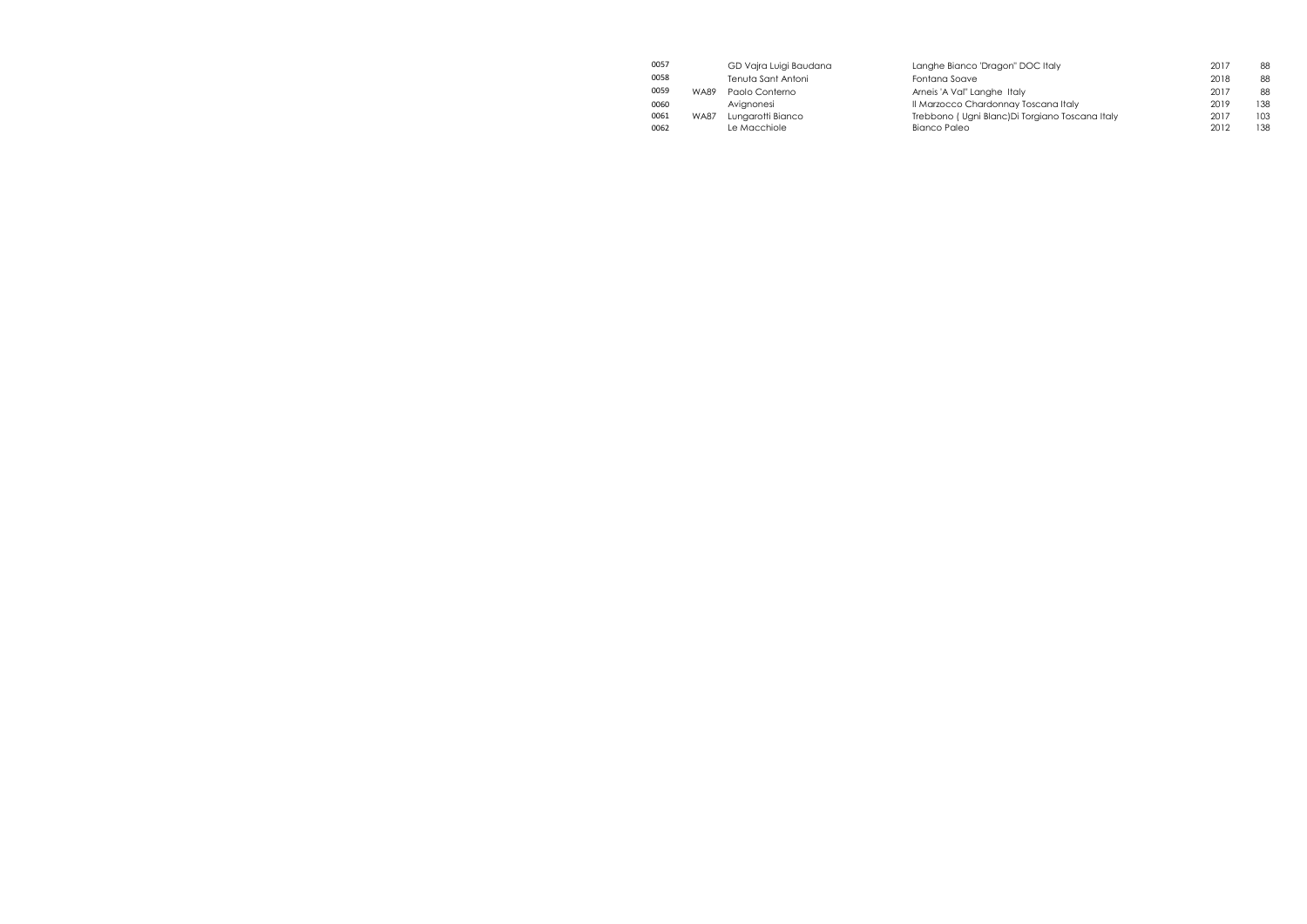| 0057 |             | GD Vajra Luigi Baudana | Langhe Bianco 'Dragon'' DOC Italy               | 2017 | 88  |
|------|-------------|------------------------|-------------------------------------------------|------|-----|
| 0058 |             | Tenuta Sant Antoni     | Fontana Soave                                   | 2018 | 88  |
| 0059 | <b>WA89</b> | Paolo Conterno         | Arneis 'A Val" Langhe Italy                     | 2017 | 88  |
| 0060 |             | Avianonesi             | Il Marzocco Chardonnay Toscana Italy            | 2019 | 138 |
| 0061 | <b>WA87</b> | Lungarotti Bianco      | Trebbono (Ugni Blanc) Di Torgiano Toscana Italy | 2017 | 103 |
| 0062 |             | Le Macchiole           | Bianco Paleo                                    | 2012 | 138 |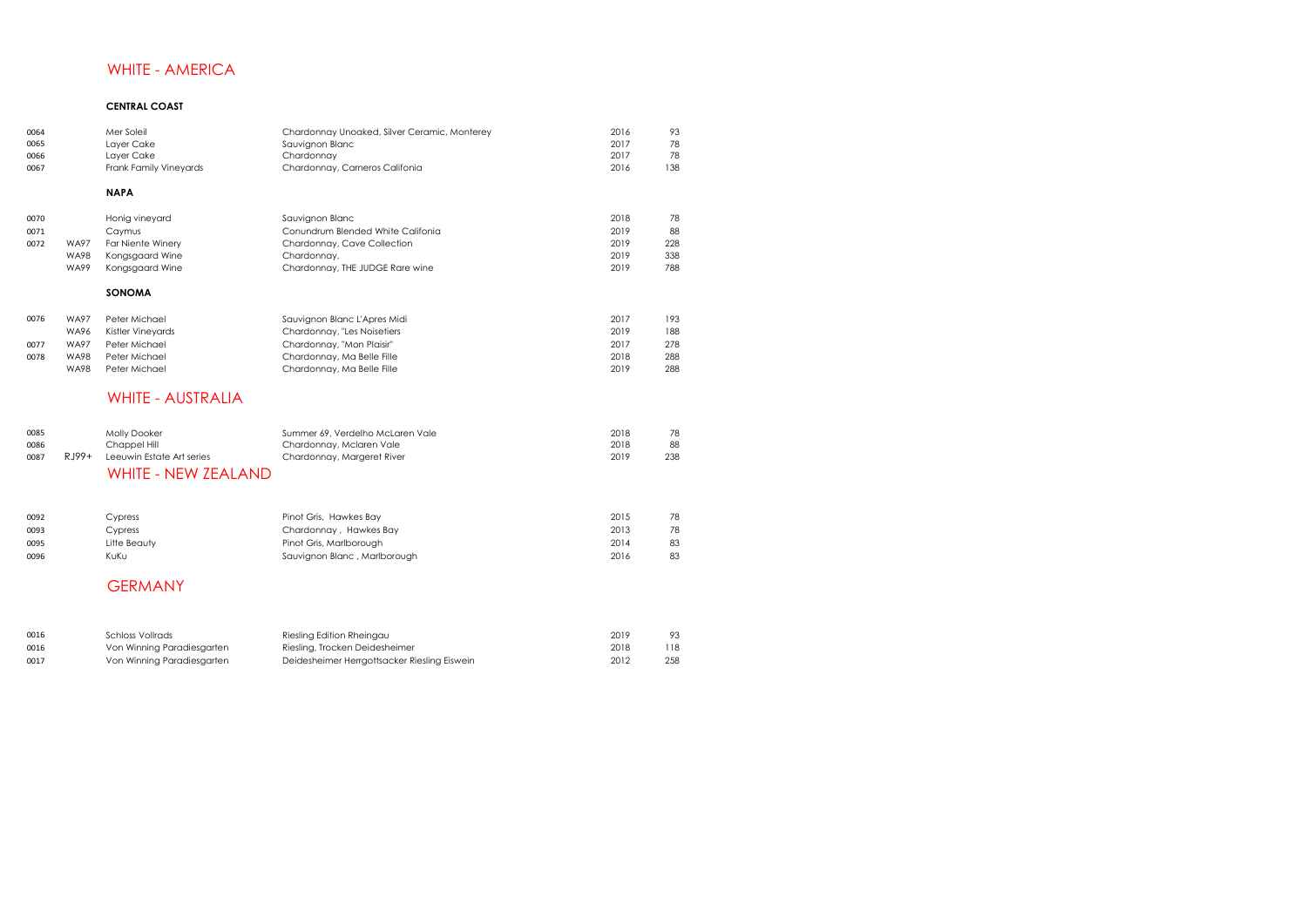# WHITE - AMERICA

## **CENTRAL COAST**

| 0064<br>0065<br>0066<br>0067 |             | Mer Soleil<br>Layer Cake<br>Layer Cake<br>Frank Family Vineyards | Chardonnay Unoaked, Silver Ceramic, Monterey<br>Sauvignon Blanc<br>Chardonnay<br>Chardonnay, Carneros Califonia | 2016<br>2017<br>2017<br>2016 | 93<br>78<br>78<br>138 |
|------------------------------|-------------|------------------------------------------------------------------|-----------------------------------------------------------------------------------------------------------------|------------------------------|-----------------------|
|                              |             | <b>NAPA</b>                                                      |                                                                                                                 |                              |                       |
| 0070                         |             | Honig vineyard                                                   | Sauvignon Blanc                                                                                                 | 2018                         | 78                    |
| 0071                         |             | Caymus                                                           | Conundrum Blended White Califonia                                                                               | 2019                         | 88                    |
| 0072                         | <b>WA97</b> | Far Niente Winery                                                | Chardonnay, Cave Collection                                                                                     | 2019                         | 228                   |
|                              | <b>WA98</b> | Kongsgaard Wine                                                  | Chardonnay,                                                                                                     | 2019                         | 338                   |
|                              | <b>WA99</b> | Kongsgaard Wine                                                  | Chardonnay, THE JUDGE Rare wine                                                                                 | 2019                         | 788                   |
|                              |             | <b>SONOMA</b>                                                    |                                                                                                                 |                              |                       |
| 0076                         | <b>WA97</b> | Peter Michael                                                    | Sauvignon Blanc L'Apres Midi                                                                                    | 2017                         | 193                   |
|                              | <b>WA96</b> | Kistler Vineyards                                                | Chardonnay, "Les Noisetiers                                                                                     | 2019                         | 188                   |
| 0077                         | <b>WA97</b> | Peter Michael                                                    | Chardonnay, "Mon Plaisir"                                                                                       | 2017                         | 278                   |
| 0078                         | <b>WA98</b> | Peter Michael                                                    | Chardonnay, Ma Belle Fille                                                                                      | 2018                         | 288                   |
|                              | <b>WA98</b> | Peter Michael                                                    | Chardonnay, Ma Belle Fille                                                                                      | 2019                         | 288                   |
|                              |             | <b>WHITE - AUSTRALIA</b>                                         |                                                                                                                 |                              |                       |
| 0085                         |             | Molly Dooker                                                     | Summer 69, Verdelho McLaren Vale                                                                                | 2018                         | 78                    |
| 0086                         |             | Chappel Hill                                                     | Chardonnay, Mclaren Vale                                                                                        | 2018                         | 88                    |
| 0087                         | RJ99+       | Leeuwin Estate Art series                                        | Chardonnay, Margeret River                                                                                      | 2019                         | 238                   |
|                              |             | <b>WHITE - NEW ZEALAND</b>                                       |                                                                                                                 |                              |                       |
|                              |             |                                                                  |                                                                                                                 |                              |                       |
| 0092                         |             | Cypress                                                          | Pinot Gris, Hawkes Bay                                                                                          | 2015                         | 78                    |
| 0093                         |             | Cypress                                                          | Chardonnay, Hawkes Bay                                                                                          | 2013                         | 78                    |
| 0095                         |             | Litte Beauty                                                     | Pinot Gris, Marlborough                                                                                         | 2014                         | 83                    |
| 0096                         |             | KuKu                                                             | Sauvignon Blanc, Marlborough                                                                                    | 2016                         | 83                    |
|                              |             | <b>GERMANY</b>                                                   |                                                                                                                 |                              |                       |
|                              |             |                                                                  |                                                                                                                 |                              |                       |
| 0016                         |             | <b>Schloss Vollrads</b>                                          | Riesling Edition Rheingau                                                                                       | 2019                         | 93                    |
| 0016                         |             | Von Winning Paradiesgarten                                       | Riesling, Trocken Deidesheimer                                                                                  | 2018                         | 118                   |
| 0017                         |             | Von Winning Paradiesgarten                                       | Deidesheimer Herrgottsacker Riesling Eiswein                                                                    | 2012                         | 258                   |
|                              |             |                                                                  |                                                                                                                 |                              |                       |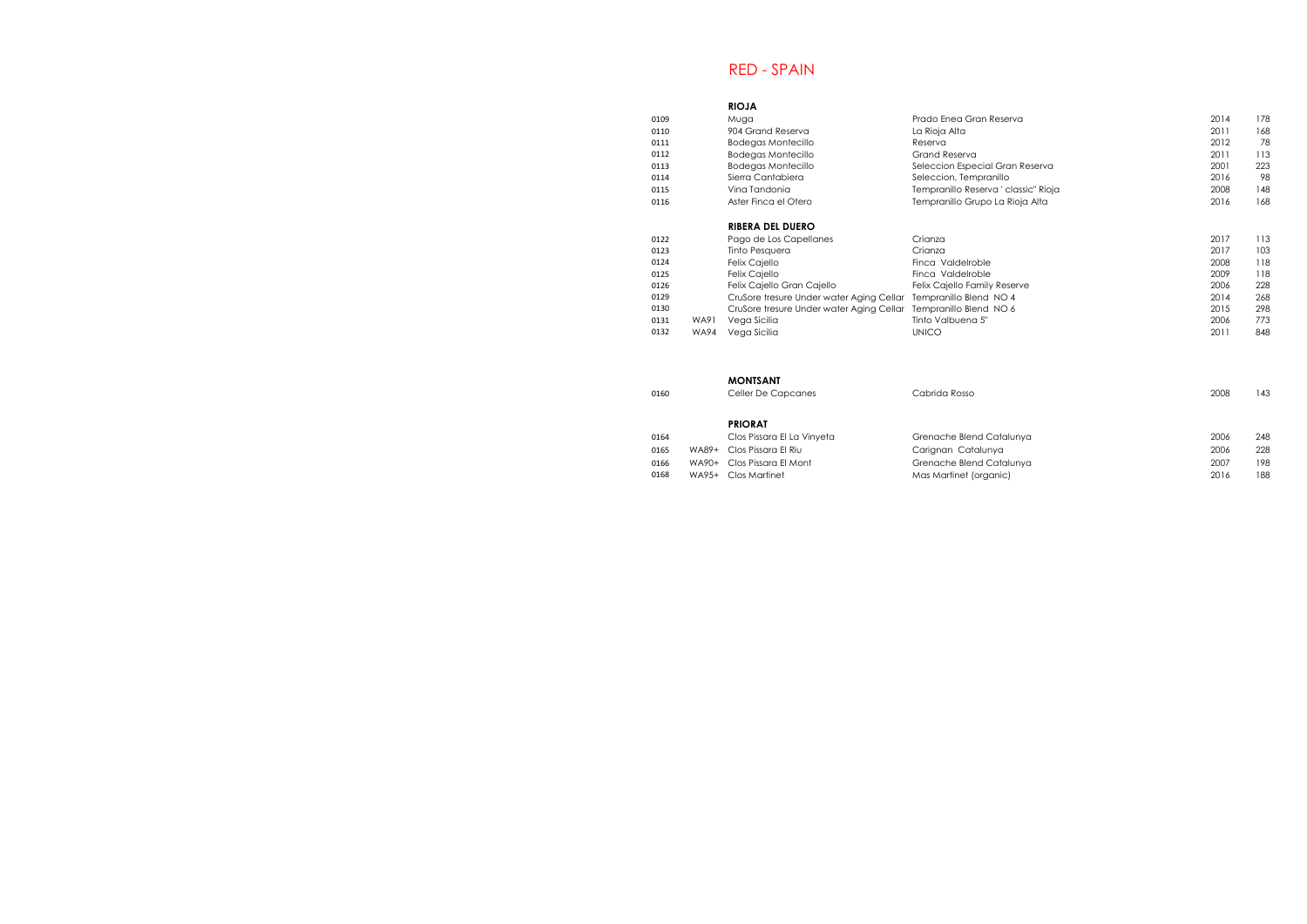# RED - SPAIN

## **RIOJA**

| 0109 |             | Muga                                     | Prado Enea Gran Reserva              | 2014 | 178 |
|------|-------------|------------------------------------------|--------------------------------------|------|-----|
| 0110 |             | 904 Grand Reserva                        | La Rioja Alta                        | 2011 | 168 |
| 0111 |             | <b>Bodegas Montecillo</b>                | Reserva                              | 2012 | 78  |
| 0112 |             | <b>Bodegas Montecillo</b>                | <b>Grand Reserva</b>                 | 2011 | 113 |
| 0113 |             | <b>Bodegas Montecillo</b>                | Seleccion Especial Gran Reserva      | 2001 | 223 |
| 0114 |             | Sierra Cantabiera                        | Seleccion, Tempranillo               | 2016 | 98  |
| 0115 |             | Vina Tandonia                            | Tempranillo Reserva ' classic" Rioja | 2008 | 148 |
| 0116 |             | Aster Finca el Otero                     | Tempranillo Grupo La Rioja Alta      | 2016 | 168 |
|      |             | <b>RIBERA DEL DUERO</b>                  |                                      |      |     |
| 0122 |             | Pago de Los Capellanes                   | Crianza                              | 2017 | 113 |
| 0123 |             | Tinto Pesquera                           | Crianza                              | 2017 | 103 |
| 0124 |             | Felix Cajello                            | Finca Valdelroble                    | 2008 | 118 |
| 0125 |             | Felix Cajello                            | Finca Valdelroble                    | 2009 | 118 |
| 0126 |             | Felix Cajello Gran Cajello               | Felix Cajello Family Reserve         | 2006 | 228 |
| 0129 |             | CruSore tresure Under water Aging Cellar | Tempranillo Blend NO 4               | 2014 | 268 |
| 0130 |             | CruSore tresure Under water Aging Cellar | Tempranillo Blend NO 6               | 2015 | 298 |
| 0131 | WA91        | Vega Sicilia                             | Tinto Valbuena 5"                    | 2006 | 773 |
| 0132 | <b>WA94</b> | Vega Sicilia                             | <b>UNICO</b>                         | 2011 | 848 |
|      |             | <b>MONTSANT</b>                          |                                      |      |     |
| 0160 |             | <b>Celler De Capcanes</b>                | Cabrida Rosso                        | 2008 | 143 |
|      |             | <b>PRIORAT</b>                           |                                      |      |     |
| 0164 |             | Clos Pissara El La Vinyeta               | Grenache Blend Catalunya             | 2006 | 248 |
| 0165 | WA89+       | Clos Pissara El Riu                      | Carignan Catalunya                   | 2006 | 228 |
| 0166 | WA90+       | Clos Pissara El Mont                     | Grenache Blend Catalunya             | 2007 | 198 |
| 0168 | WA95+       | Clos Martinet                            | Mas Martinet (organic)               | 2016 | 188 |
|      |             |                                          |                                      |      |     |

| 109  |             | Muga                                     | Prado Enea Gran Reserva              | 2014 | 178 |
|------|-------------|------------------------------------------|--------------------------------------|------|-----|
| )110 |             | 904 Grand Reserva                        | La Rioja Alta                        | 2011 | 168 |
| 111  |             | <b>Bodegas Montecillo</b>                | Reserva                              | 2012 | 78  |
| )112 |             | <b>Bodegas Montecillo</b>                | Grand Reserva                        | 2011 | 113 |
| )113 |             | <b>Bodegas Montecillo</b>                | Seleccion Especial Gran Reserva      | 2001 | 223 |
| 114  |             | Sierra Cantabiera                        | Seleccion, Tempranillo               | 2016 | 98  |
| )115 |             | Vina Tandonia                            | Tempranillo Reserva ' classic" Rioja | 2008 | 148 |
| )116 |             | Aster Finca el Otero                     | Tempranillo Grupo La Rioja Alta      | 2016 | 168 |
|      |             | <b>RIBERA DEL DUERO</b>                  |                                      |      |     |
| )122 |             | Pago de Los Capellanes                   | Crianza                              | 2017 | 113 |
| )123 |             | <b>Tinto Pesquera</b>                    | Crianza                              | 2017 | 103 |
| )124 |             | Felix Cajello                            | Finca Valdelroble                    | 2008 | 118 |
| )125 |             | Felix Cajello                            | Finca Valdelroble                    | 2009 | 118 |
| )126 |             | Felix Cajello Gran Cajello               | Felix Cajello Family Reserve         | 2006 | 228 |
| )129 |             | CruSore tresure Under water Aging Cellar | Tempranillo Blend NO 4               | 2014 | 268 |
| 130  |             | CruSore tresure Under water Aging Cellar | Tempranillo Blend NO 6               | 2015 | 298 |
| 131  | WA91        | Vega Sicilia                             | Tinto Valbuena 5"                    | 2006 | 773 |
| )132 | <b>WA94</b> | Vega Sicilia                             | <b>UNICO</b>                         | 2011 | 848 |
|      |             | <b>MONTSANT</b>                          |                                      |      |     |
| 160  |             | <b>Celler De Capcanes</b>                | Cabrida Rosso                        | 2008 | 143 |
|      |             | <b>PRIORAT</b>                           |                                      |      |     |
| 164  |             | Clos Pissara El La Vinyeta               | Grenache Blend Catalunya             | 2006 | 248 |
| 165  | WA89+       | Clos Pissara El Riu                      | Carignan Catalunya                   | 2006 | 228 |
| 166  | WA90+       | Clos Pissara El Mont                     | Grenache Blend Catalunya             | 2007 | 198 |
| 168  | WA95+       | Clos Martinet                            | Mas Martinet (organic)               | 2016 | 188 |
|      |             |                                          |                                      |      |     |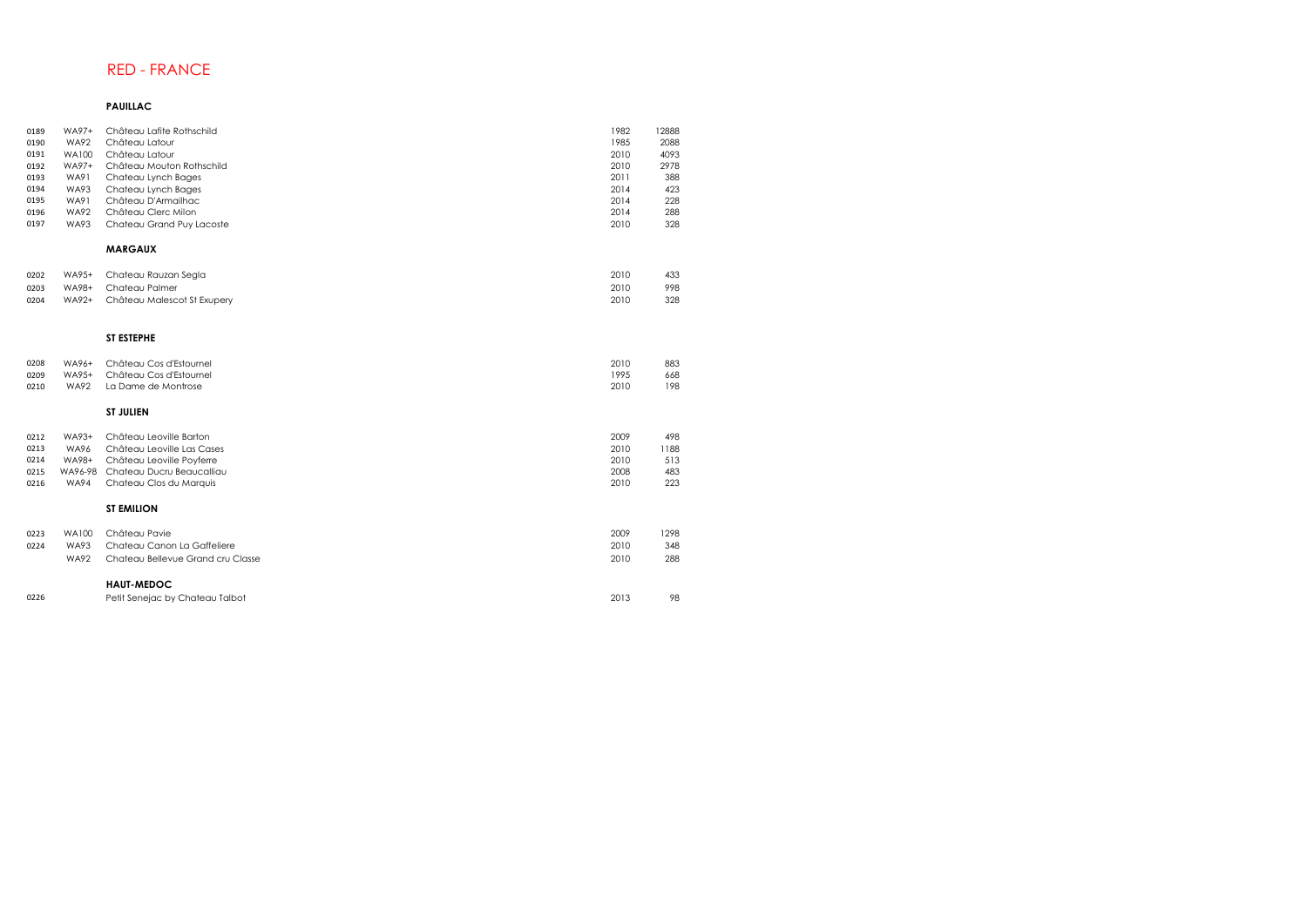# RED - FRANCE

## **PAUILLAC**

| 2010<br>WA95+<br>Chateau Rauzan Segla<br>0202<br>2010<br>WA98+<br>Chateau Palmer<br>0203 | 2088<br>4093<br>2978<br>388<br>423<br>228<br>288<br>328 |
|------------------------------------------------------------------------------------------|---------------------------------------------------------|
|                                                                                          | 433                                                     |
|                                                                                          | 998                                                     |
| WA92+<br>2010<br>Château Malescot St Exupery<br>0204                                     | 328                                                     |
| <b>ST ESTEPHE</b>                                                                        |                                                         |
| WA96+<br>2010<br>Château Cos d'Estournel<br>0208                                         | 883                                                     |
| WA95+<br>Château Cos d'Estournel<br>1995<br>0209                                         | 668                                                     |
| <b>WA92</b><br>La Dame de Montrose<br>2010<br>0210                                       | 198                                                     |
| <b>ST JULIEN</b>                                                                         |                                                         |
| WA93+<br>Château Leoville Barton<br>2009<br>0212                                         | 498                                                     |
| 2010<br><b>WA96</b><br>Château Leoville Las Cases<br>0213                                | 1188                                                    |
| WA98+<br>2010<br>Château Leoville Poyferre<br>0214                                       | 513                                                     |
| 2008<br>WA96-98<br>Chateau Ducru Beaucalliau<br>0215                                     | 483                                                     |
| <b>WA94</b><br>Chateau Clos du Marquis<br>2010<br>0216                                   | 223                                                     |
| <b>ST EMILION</b>                                                                        |                                                         |
| 0223<br><b>WA100</b><br>Château Pavie<br>2009                                            | 1298                                                    |
| 2010<br><b>WA93</b><br>Chateau Canon La Gaffeliere<br>0224                               | 348                                                     |
| <b>WA92</b><br>2010<br>Chateau Bellevue Grand cru Classe                                 | 288                                                     |
| <b>HAUT-MEDOC</b>                                                                        |                                                         |
| 2013<br>0226<br>Petit Senejac by Chateau Talbot                                          | 98                                                      |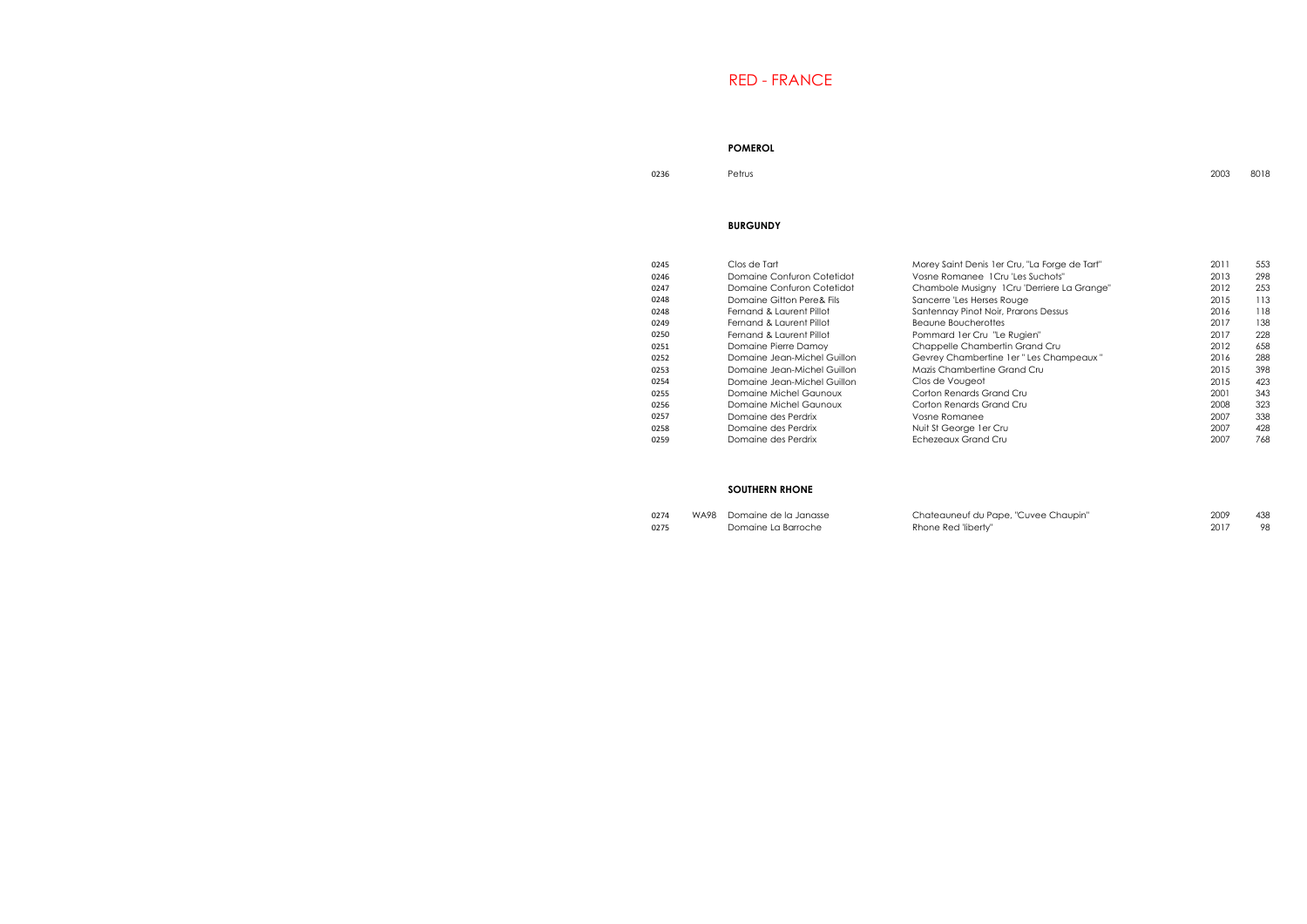# RED - FRANCE

## **POMEROL**

| 0236 | Petrus                      |                                                | 2003 | 8018 |
|------|-----------------------------|------------------------------------------------|------|------|
|      | <b>BURGUNDY</b>             |                                                |      |      |
| 0245 | Clos de Tart                | Morey Saint Denis 1 er Cru, "La Forge de Tart" | 2011 | 553  |
| 0246 | Domaine Confuron Cotetidot  | Vosne Romanee, 1Cru 'Les Suchots''             | 2013 | 298  |
| 0247 | Domaine Confuron Cotetidot  | Chambole Musigny 1Cru 'Derriere La Grange''    | 2012 | 253  |
| 0248 | Domaine Gitton Pere& Fils   | Sancerre 'Les Herses Rouge                     | 2015 | 113  |
| 0248 | Fernand & Laurent Pillot    | Santennay Pinot Noir, Prarons Dessus           | 2016 | 118  |
| 0249 | Fernand & Laurent Pillot    | <b>Beaune Boucherottes</b>                     | 2017 | 138  |
| 0250 | Fernand & Laurent Pillot    | Pommard 1er Cru "Le Rugien"                    | 2017 | 228  |
| 0251 | Domaine Pierre Damoy        | Chappelle Chambertin Grand Cru                 | 2012 | 658  |
| 0252 | Domaine Jean-Michel Guillon | Gevrey Chambertine 1er "Les Champeaux"         | 2016 | 288  |
| 0253 | Domaine Jean-Michel Guillon | Mazis Chambertine Grand Cru                    | 2015 | 398  |
| 0254 | Domaine Jean-Michel Guillon | Clos de Vougeot                                | 2015 | 423  |
| 0255 | Domaine Michel Gaunoux      | Corton Renards Grand Cru                       | 2001 | 343  |
| 0256 | Domaine Michel Gaunoux      | Corton Renards Grand Cru                       | 2008 | 323  |
| 0257 | Domaine des Perdrix         | Vosne Romanee                                  | 2007 | 338  |
| 0258 | Domaine des Perdrix         | Nuit St George 1 er Cru                        | 2007 | 428  |
| 0259 | Domaine des Perdrix         | Echezeaux Grand Cru                            | 2007 | 768  |
|      |                             |                                                |      |      |

### **SOUTHERN RHONE**

| 0274 | WA98 Domaine de la Janasse | Chateauneuf du Pape, "Cuvee Chaupin" | 2009      | 438 |
|------|----------------------------|--------------------------------------|-----------|-----|
| 0275 | Domaine La Barroche        | Rhone Red 'liberty''                 | $201^{-}$ | 98  |

| ; 1er Cru, "La Forge de Tart" | 2011 | 553 |
|-------------------------------|------|-----|
| 1 Cru 'Les Suchots''          | 2013 | 298 |
| ny 1Cru 'Derriere La Grange'' | 2012 | 253 |
| es Rouge                      | 2015 | 113 |
| Noir, Prarons Dessus          | 2016 | 118 |
| ottes                         | 2017 | 138 |
| ∪ "Le Rugien"                 | 2017 | 228 |
| bertin Grand Cru              | 2012 | 658 |
| tine 1er " Les Champeaux "    | 2016 | 288 |
| าe Grand Cru                  | 2015 | 398 |
|                               | 2015 | 423 |
| Grand Cru                     | 2001 | 343 |
| Grand Cru                     | 2008 | 323 |
|                               | 2007 | 338 |
| r Cru                         | 2007 | 428 |
| l Cru                         | 2007 | 768 |
|                               |      |     |
|                               |      |     |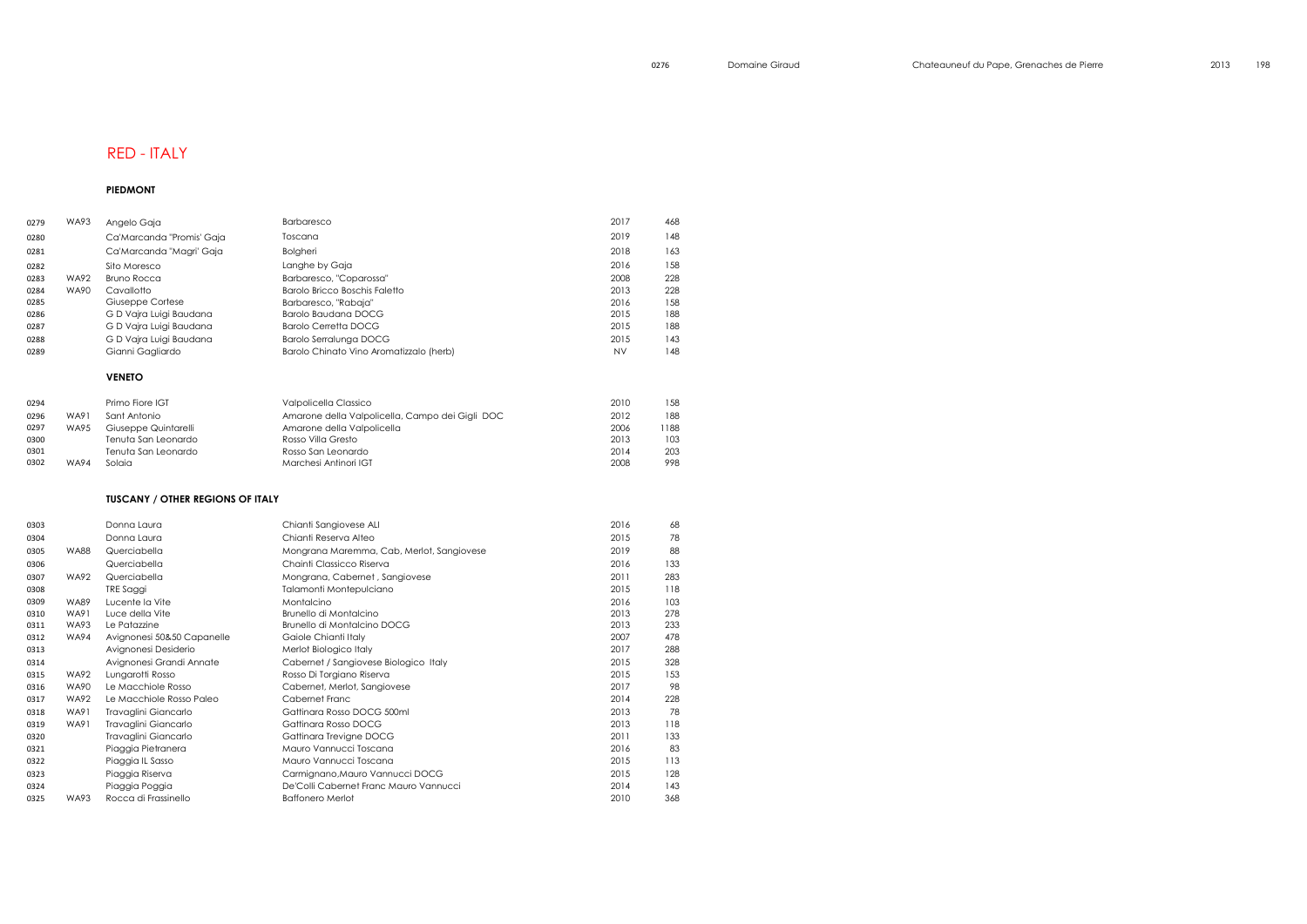## RED - ITALY

### **PIEDMONT**

| 0279 | <b>WA93</b> | Angelo Gaja                             | <b>Barbaresco</b>                               | 2017      | 468  |
|------|-------------|-----------------------------------------|-------------------------------------------------|-----------|------|
| 0280 |             | Ca'Marcanda "Promis' Gaja               | Toscana                                         | 2019      | 148  |
| 0281 |             | Ca'Marcanda "Magri' Gaja                | <b>Bolgheri</b>                                 | 2018      | 163  |
| 0282 |             | Sito Moresco                            | Langhe by Gaja                                  | 2016      | 158  |
| 0283 | <b>WA92</b> | <b>Bruno Rocca</b>                      | Barbaresco, "Coparossa"                         | 2008      | 228  |
| 0284 | <b>WA90</b> | Cavallotto                              | <b>Barolo Bricco Boschis Faletto</b>            | 2013      | 228  |
| 0285 |             | Giuseppe Cortese                        | Barbaresco, "Rabaja"                            | 2016      | 158  |
| 0286 |             | G D Vajra Luigi Baudana                 | Barolo Baudana DOCG                             | 2015      | 188  |
| 0287 |             | G D Vajra Luigi Baudana                 | <b>Barolo Cerretta DOCG</b>                     | 2015      | 188  |
| 0288 |             | G D Vajra Luigi Baudana                 | Barolo Serralunga DOCG                          | 2015      | 143  |
| 0289 |             | Gianni Gagliardo                        | Barolo Chinato Vino Aromatizzalo (herb)         | <b>NV</b> | 148  |
|      |             | <b>VENETO</b>                           |                                                 |           |      |
|      |             |                                         |                                                 |           |      |
| 0294 |             | Primo Fiore IGT                         | Valpolicella Classico                           | 2010      | 158  |
| 0296 | <b>WA91</b> | Sant Antonio                            | Amarone della Valpolicella, Campo dei Gigli DOC | 2012      | 188  |
| 0297 | <b>WA95</b> | Giuseppe Quintarelli                    | Amarone della Valpolicella                      | 2006      | 1188 |
| 0300 |             | Tenuta San Leonardo                     | Rosso Villa Gresto                              | 2013      | 103  |
| 0301 |             | Tenuta San Leonardo                     | Rosso San Leonardo                              | 2014      | 203  |
| 0302 | <b>WA94</b> | Solaia                                  | Marchesi Antinori IGT                           | 2008      | 998  |
|      |             |                                         |                                                 |           |      |
|      |             | <b>TUSCANY / OTHER REGIONS OF ITALY</b> |                                                 |           |      |

| 0303 |             | Donna Laura                | Chianti Sangiovese ALI                    | 2016 | 68  |
|------|-------------|----------------------------|-------------------------------------------|------|-----|
| 0304 |             | Donna Laura                | Chianti Reserva Alteo                     | 2015 | 78  |
| 0305 | <b>WA88</b> | Querciabella               | Mongrana Maremma, Cab, Merlot, Sangiovese | 2019 | 88  |
| 0306 |             | Querciabella               | Chainti Classicco Riserva                 | 2016 | 133 |
| 0307 | <b>WA92</b> | Querciabella               | Mongrana, Cabernet, Sangiovese            | 2011 | 283 |
| 0308 |             | TRE Saggi                  | Talamonti Montepulciano                   | 2015 | 118 |
| 0309 | <b>WA89</b> | Lucente la Vite            | Montalcino                                | 2016 | 103 |
| 0310 | WA91        | Luce della Vite            | Brunello di Montalcino                    | 2013 | 278 |
| 0311 | <b>WA93</b> | Le Patazzine               | Brunello di Montalcino DOCG               | 2013 | 233 |
| 0312 | <b>WA94</b> | Avignonesi 50&50 Capanelle | Gaiole Chianti Italy                      | 2007 | 478 |
| 0313 |             | Avignonesi Desiderio       | Merlot Biologico Italy                    | 2017 | 288 |
| 0314 |             | Avignonesi Grandi Annate   | Cabernet / Sangiovese Biologico Italy     | 2015 | 328 |
| 0315 | <b>WA92</b> | Lungarotti Rosso           | Rosso Di Torgiano Riserva                 | 2015 | 153 |
| 0316 | <b>WA90</b> | Le Macchiole Rosso         | Cabernet, Merlot, Sangiovese              | 2017 | 98  |
| 0317 | <b>WA92</b> | Le Macchiole Rosso Paleo   | Cabernet Franc                            | 2014 | 228 |
| 0318 | WA91        | Travaglini Giancarlo       | Gattinara Rosso DOCG 500ml                | 2013 | 78  |
| 0319 | WA91        | Travaglini Giancarlo       | Gattinara Rosso DOCG                      | 2013 | 118 |
| 0320 |             | Travaglini Giancarlo       | Gattinara Trevigne DOCG                   | 2011 | 133 |
| 0321 |             | Piaggia Pietranera         | Mauro Vannucci Toscana                    | 2016 | 83  |
| 0322 |             | Piaggia IL Sasso           | Mauro Vannucci Toscana                    | 2015 | 113 |
| 0323 |             | Piaggia Riserva            | Carmignano, Mauro Vannucci DOCG           | 2015 | 128 |
| 0324 |             | Piaggia Poggia             | De'Colli Cabernet Franc Mauro Vannucci    | 2014 | 143 |
| 0325 | <b>WA93</b> | Rocca di Frassinello       | <b>Baffonero Merlot</b>                   | 2010 | 368 |
|      |             |                            |                                           |      |     |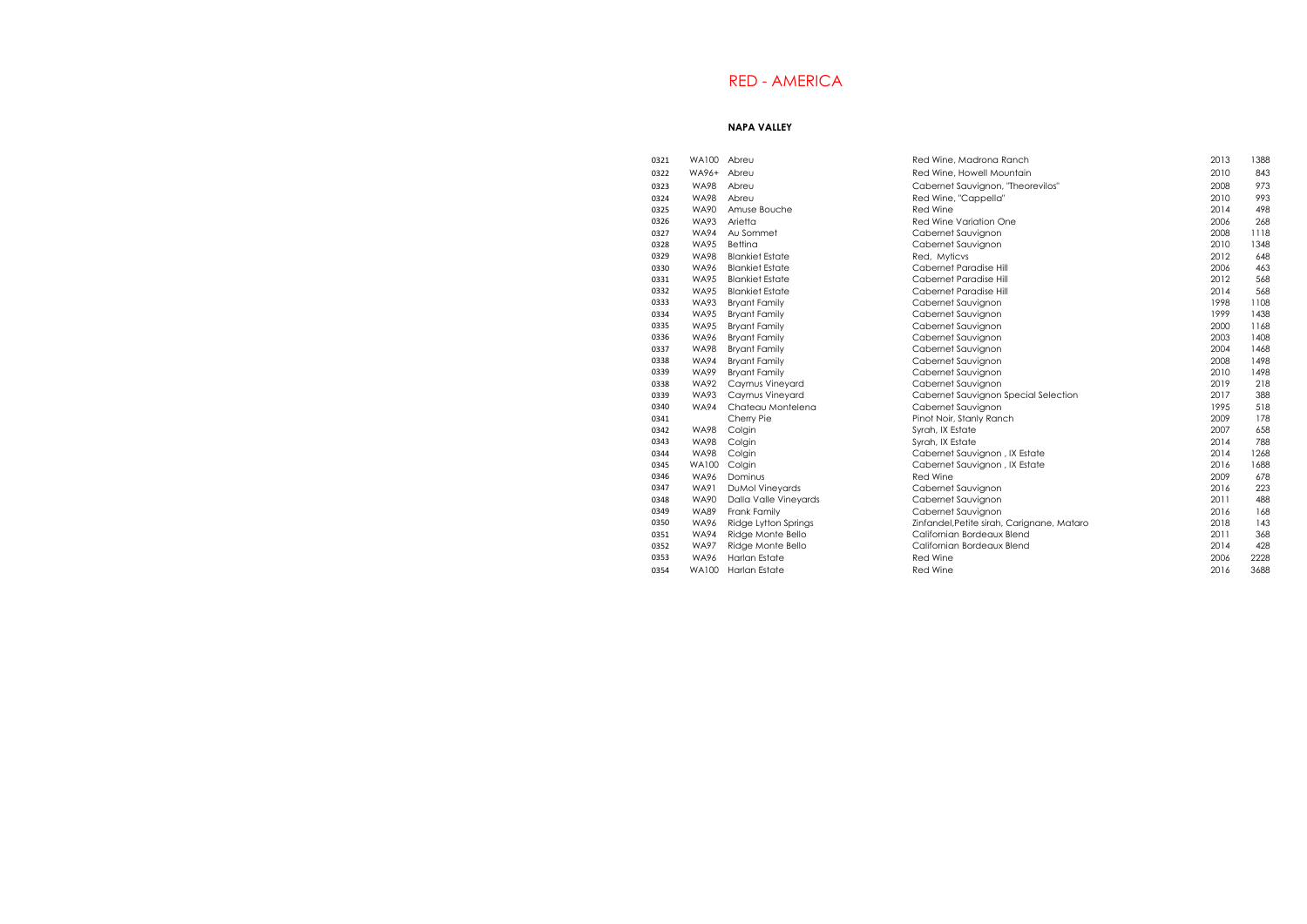# RED - AMERICA

### **NAPA VALLEY**

| 0321 | <b>WA100</b> | Abreu                  | Red Wine, Madrona Ranch                    | 2013 | 1388 |
|------|--------------|------------------------|--------------------------------------------|------|------|
| 0322 | WA96+        | Abreu                  | Red Wine, Howell Mountain                  | 2010 | 843  |
| 0323 | <b>WA98</b>  | Abreu                  | Cabernet Sauvignon, "Theorevilos"          | 2008 | 973  |
| 0324 | <b>WA98</b>  | Abreu                  | Red Wine, "Cappella"                       | 2010 | 993  |
| 0325 | <b>WA90</b>  | Amuse Bouche           | <b>Red Wine</b>                            | 2014 | 498  |
| 0326 | <b>WA93</b>  | Arietta                | Red Wine Variation One                     | 2006 | 268  |
| 0327 | <b>WA94</b>  | Au Sommet              | Cabernet Sauvignon                         | 2008 | 1118 |
| 0328 | <b>WA95</b>  | <b>Betting</b>         | Cabernet Sauvignon                         | 2010 | 1348 |
| 0329 | <b>WA98</b>  | <b>Blankiet Estate</b> | Red, Myticvs                               | 2012 | 648  |
| 0330 | <b>WA96</b>  | <b>Blankiet Estate</b> | Cabernet Paradise Hill                     | 2006 | 463  |
| 0331 | <b>WA95</b>  | <b>Blankiet Estate</b> | Cabernet Paradise Hill                     | 2012 | 568  |
| 0332 | <b>WA95</b>  | <b>Blankiet Estate</b> | Cabernet Paradise Hill                     | 2014 | 568  |
| 0333 | <b>WA93</b>  | <b>Bryant Family</b>   | Cabernet Sauvignon                         | 1998 | 1108 |
| 0334 | <b>WA95</b>  | <b>Bryant Family</b>   | Cabernet Sauvignon                         | 1999 | 1438 |
| 0335 | <b>WA95</b>  | <b>Bryant Family</b>   | Cabernet Sauvignon                         | 2000 | 1168 |
| 0336 | <b>WA96</b>  | <b>Bryant Family</b>   | Cabernet Sauvignon                         | 2003 | 1408 |
| 0337 | <b>WA98</b>  | <b>Bryant Family</b>   | Cabernet Sauvignon                         | 2004 | 1468 |
| 0338 | <b>WA94</b>  | <b>Bryant Family</b>   | Cabernet Sauvignon                         | 2008 | 1498 |
| 0339 | <b>WA99</b>  | <b>Bryant Family</b>   | Cabernet Sauvignon                         | 2010 | 1498 |
| 0338 | <b>WA92</b>  | Caymus Vineyard        | Cabernet Sauvignon                         | 2019 | 218  |
| 0339 | <b>WA93</b>  | Caymus Vineyard        | Cabernet Sauvignon Special Selection       | 2017 | 388  |
| 0340 | <b>WA94</b>  | Chateau Montelena      | Cabernet Sauvignon                         | 1995 | 518  |
| 0341 |              | Cherry Pie             | Pinot Noir, Stanly Ranch                   | 2009 | 178  |
| 0342 | <b>WA98</b>  | Colgin                 | Syrah, IX Estate                           | 2007 | 658  |
| 0343 | <b>WA98</b>  | Colgin                 | Syrah, IX Estate                           | 2014 | 788  |
| 0344 | <b>WA98</b>  | Colgin                 | Cabernet Sauvignon, IX Estate              | 2014 | 1268 |
| 0345 | <b>WA100</b> | Colgin                 | Cabernet Sauvignon, IX Estate              | 2016 | 1688 |
| 0346 | <b>WA96</b>  | Dominus                | <b>Red Wine</b>                            | 2009 | 678  |
| 0347 | <b>WA91</b>  | <b>DuMol Vineyards</b> | Cabernet Sauvignon                         | 2016 | 223  |
| 0348 | <b>WA90</b>  | Dalla Valle Vineyards  | Cabernet Sauvignon                         | 2011 | 488  |
| 0349 | <b>WA89</b>  | Frank Family           | Cabernet Sauvignon                         | 2016 | 168  |
| 0350 | <b>WA96</b>  | Ridge Lytton Springs   | Zinfandel, Petite sirah, Carignane, Mataro | 2018 | 143  |
| 0351 | <b>WA94</b>  | Ridge Monte Bello      | Californian Bordeaux Blend                 | 2011 | 368  |
| 0352 | <b>WA97</b>  | Ridge Monte Bello      | Californian Bordeaux Blend                 | 2014 | 428  |
| 0353 | <b>WA96</b>  | Harlan Estate          | <b>Red Wine</b>                            | 2006 | 2228 |
|      |              |                        |                                            |      |      |

| 0321 | <b>WA100</b> | Abreu                  | Red Wine, Madrona Ranch                    | 2013 | 1388 |
|------|--------------|------------------------|--------------------------------------------|------|------|
| 0322 | WA96+        | Abreu                  | Red Wine, Howell Mountain                  | 2010 | 843  |
| 0323 | <b>WA98</b>  | Abreu                  | Cabernet Sauvignon, "Theorevilos"          | 2008 | 973  |
| 0324 | <b>WA98</b>  | Abreu                  | Red Wine, "Cappella"                       | 2010 | 993  |
| 0325 | <b>WA90</b>  | Amuse Bouche           | <b>Red Wine</b>                            | 2014 | 498  |
| 0326 | <b>WA93</b>  | Arietta                | Red Wine Variation One                     | 2006 | 268  |
| 0327 | <b>WA94</b>  | Au Sommet              | Cabernet Sauvignon                         | 2008 | 1118 |
| 0328 | <b>WA95</b>  | <b>Bettina</b>         | Cabernet Sauvignon                         | 2010 | 1348 |
| 0329 | <b>WA98</b>  | <b>Blankiet Estate</b> | Red, Myticvs                               | 2012 | 648  |
| 0330 | <b>WA96</b>  | <b>Blankiet Estate</b> | Cabernet Paradise Hill                     | 2006 | 463  |
| 0331 | <b>WA95</b>  | <b>Blankiet Estate</b> | Cabernet Paradise Hill                     | 2012 | 568  |
| 0332 | <b>WA95</b>  | <b>Blankiet Estate</b> | Cabernet Paradise Hill                     | 2014 | 568  |
| 0333 | <b>WA93</b>  | <b>Bryant Family</b>   | Cabernet Sauvignon                         | 1998 | 1108 |
| 0334 | <b>WA95</b>  | <b>Bryant Family</b>   | Cabernet Sauvignon                         | 1999 | 1438 |
| 0335 | <b>WA95</b>  | <b>Bryant Family</b>   | Cabernet Sauvignon                         | 2000 | 1168 |
| 0336 | <b>WA96</b>  | <b>Bryant Family</b>   | Cabernet Sauvignon                         | 2003 | 1408 |
| 0337 | <b>WA98</b>  | <b>Bryant Family</b>   | Cabernet Sauvignon                         | 2004 | 1468 |
| 0338 | <b>WA94</b>  | <b>Bryant Family</b>   | Cabernet Sauvignon                         | 2008 | 1498 |
| 0339 | <b>WA99</b>  | <b>Bryant Family</b>   | Cabernet Sauvignon                         | 2010 | 1498 |
| 0338 | <b>WA92</b>  | Caymus Vineyard        | Cabernet Sauvignon                         | 2019 | 218  |
| 0339 | <b>WA93</b>  | Caymus Vineyard        | Cabernet Sauvignon Special Selection       | 2017 | 388  |
| 0340 | <b>WA94</b>  | Chateau Montelena      | Cabernet Sauvignon                         | 1995 | 518  |
| 0341 |              | Cherry Pie             | Pinot Noir, Stanly Ranch                   | 2009 | 178  |
| 0342 | <b>WA98</b>  | Colgin                 | Syrah, IX Estate                           | 2007 | 658  |
| 0343 | <b>WA98</b>  | Colgin                 | Syrah, IX Estate                           | 2014 | 788  |
| 0344 | <b>WA98</b>  | Colgin                 | Cabernet Sauvignon, IX Estate              | 2014 | 1268 |
| 0345 | <b>WA100</b> | Colgin                 | Cabernet Sauvignon, IX Estate              | 2016 | 1688 |
| 0346 | <b>WA96</b>  | Dominus                | <b>Red Wine</b>                            | 2009 | 678  |
| 0347 | <b>WA91</b>  | <b>DuMol Vineyards</b> | Cabernet Sauvignon                         | 2016 | 223  |
| 0348 | <b>WA90</b>  | Dalla Valle Vineyards  | Cabernet Sauvignon                         | 2011 | 488  |
| 0349 | <b>WA89</b>  | Frank Family           | Cabernet Sauvignon                         | 2016 | 168  |
| 0350 | <b>WA96</b>  | Ridge Lytton Springs   | Zinfandel, Petite sirah, Carignane, Mataro | 2018 | 143  |
| 0351 | <b>WA94</b>  | Ridge Monte Bello      | Californian Bordeaux Blend                 | 2011 | 368  |
| 0352 | <b>WA97</b>  | Ridge Monte Bello      | Californian Bordeaux Blend                 | 2014 | 428  |
| 0353 | <b>WA96</b>  | Harlan Estate          | <b>Red Wine</b>                            | 2006 | 2228 |
| 0354 | <b>WA100</b> | <b>Harlan Estate</b>   | <b>Red Wine</b>                            | 2016 | 3688 |
|      |              |                        |                                            |      |      |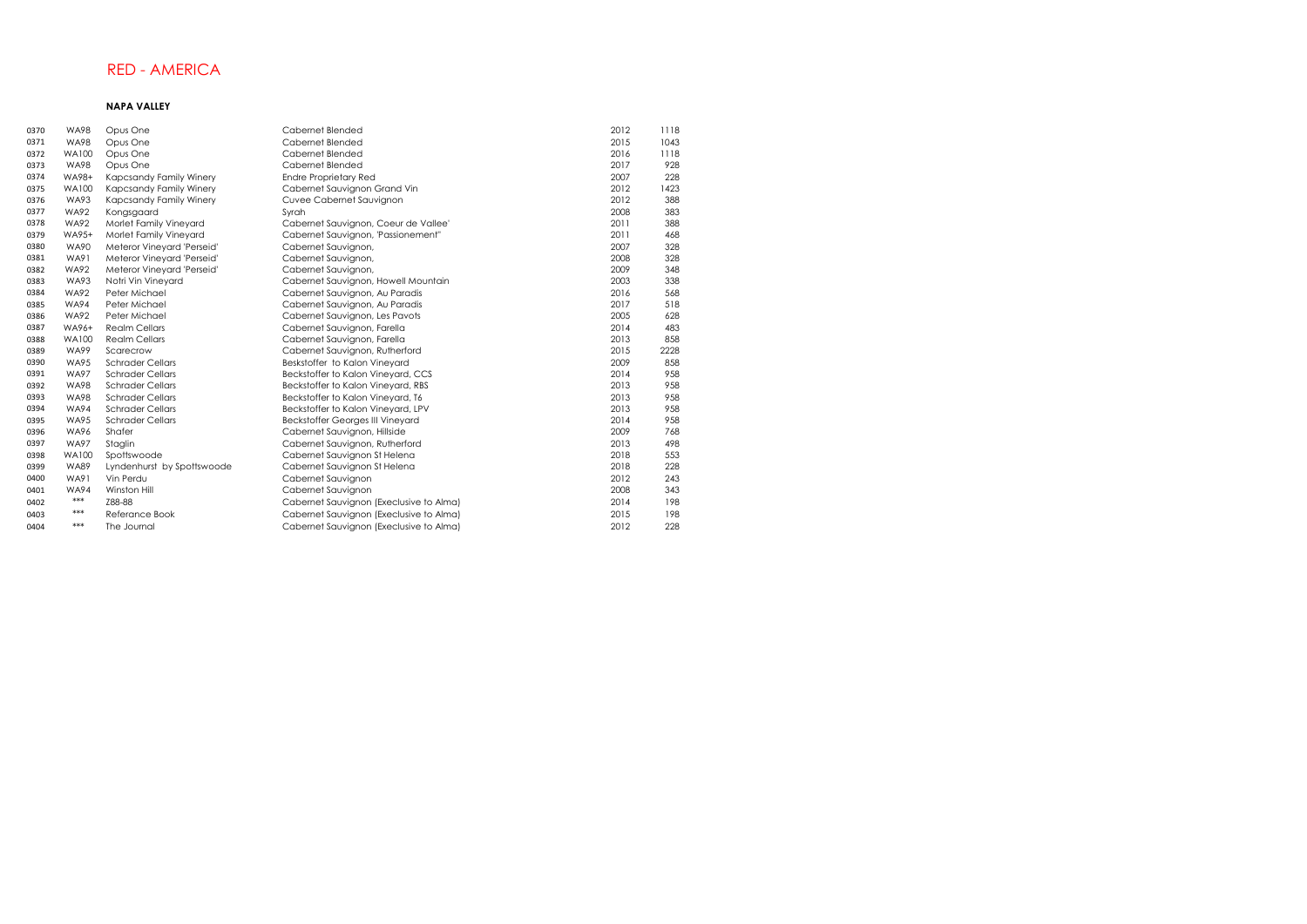# RED - AMERICA

## **NAPA VALLEY**

| 0370 | <b>WA98</b>  | Opus One                   | Cabernet Blended                        | 2012 | 1118 |
|------|--------------|----------------------------|-----------------------------------------|------|------|
| 0371 | <b>WA98</b>  | Opus One                   | Cabernet Blended                        | 2015 | 1043 |
| 0372 | <b>WA100</b> | Opus One                   | Cabernet Blended                        | 2016 | 1118 |
| 0373 | <b>WA98</b>  | Opus One                   | Cabernet Blended                        | 2017 | 928  |
| 0374 | WA98+        | Kapcsandy Family Winery    | <b>Endre Proprietary Red</b>            | 2007 | 228  |
| 0375 | <b>WA100</b> | Kapcsandy Family Winery    | Cabernet Sauvignon Grand Vin            | 2012 | 1423 |
| 0376 | <b>WA93</b>  | Kapcsandy Family Winery    | Cuvee Cabernet Sauvignon                | 2012 | 388  |
| 0377 | <b>WA92</b>  | Kongsgaard                 | Syrah                                   | 2008 | 383  |
| 0378 | <b>WA92</b>  | Morlet Family Vineyard     | Cabernet Sauvignon, Coeur de Vallee'    | 2011 | 388  |
| 0379 | WA95+        | Morlet Family Vineyard     | Cabernet Sauvignon, 'Passionement"      | 2011 | 468  |
| 0380 | <b>WA90</b>  | Meteror Vineyard 'Perseid' | Cabernet Sauvignon,                     | 2007 | 328  |
| 0381 | WA91         | Meteror Vineyard 'Perseid' | Cabernet Sauvignon,                     | 2008 | 328  |
| 0382 | <b>WA92</b>  | Meteror Vineyard 'Perseid' | Cabernet Sauvignon,                     | 2009 | 348  |
| 0383 | <b>WA93</b>  | Notri Vin Vineyard         | Cabernet Sauvignon, Howell Mountain     | 2003 | 338  |
| 0384 | <b>WA92</b>  | Peter Michael              | Cabernet Sauvignon, Au Paradis          | 2016 | 568  |
| 0385 | <b>WA94</b>  | Peter Michael              | Cabernet Sauvignon, Au Paradis          | 2017 | 518  |
| 0386 | <b>WA92</b>  | Peter Michael              | Cabernet Sauvignon, Les Pavots          | 2005 | 628  |
| 0387 | WA96+        | <b>Realm Cellars</b>       | Cabernet Sauvignon, Farella             | 2014 | 483  |
| 0388 | <b>WA100</b> | <b>Realm Cellars</b>       | Cabernet Sauvignon, Farella             | 2013 | 858  |
| 0389 | <b>WA99</b>  | Scarecrow                  | Cabernet Sauvignon, Rutherford          | 2015 | 2228 |
| 0390 | <b>WA95</b>  | <b>Schrader Cellars</b>    | Beskstoffer to Kalon Vineyard           | 2009 | 858  |
| 0391 | <b>WA97</b>  | <b>Schrader Cellars</b>    | Beckstoffer to Kalon Vineyard, CCS      | 2014 | 958  |
| 0392 | <b>WA98</b>  | <b>Schrader Cellars</b>    | Beckstoffer to Kalon Vineyard, RBS      | 2013 | 958  |
| 0393 | <b>WA98</b>  | <b>Schrader Cellars</b>    | Beckstoffer to Kalon Vineyard, T6       | 2013 | 958  |
| 0394 | <b>WA94</b>  | <b>Schrader Cellars</b>    | Beckstoffer to Kalon Vineyard, LPV      | 2013 | 958  |
| 0395 | <b>WA95</b>  | <b>Schrader Cellars</b>    | <b>Beckstoffer Georges III Vineyard</b> | 2014 | 958  |
| 0396 | <b>WA96</b>  | Shafer                     | Cabernet Sauvignon, Hillside            | 2009 | 768  |
| 0397 | <b>WA97</b>  | Staglin                    | Cabernet Sauvignon, Rutherford          | 2013 | 498  |
| 0398 | <b>WA100</b> | Spottswoode                | Cabernet Sauvignon St Helena            | 2018 | 553  |
| 0399 | <b>WA89</b>  | Lyndenhurst by Spottswoode | Cabernet Sauvignon St Helena            | 2018 | 228  |
| 0400 | <b>WA91</b>  | Vin Perdu                  | Cabernet Sauvignon                      | 2012 | 243  |
| 0401 | <b>WA94</b>  | Winston Hill               | Cabernet Sauvignon                      | 2008 | 343  |
| 0402 | $***$        | Z88-88                     | Cabernet Sauvignon (Execlusive to Alma) | 2014 | 198  |
| 0403 | $***$        | Referance Book             | Cabernet Sauvignon (Execlusive to Alma) | 2015 | 198  |
| 0404 | $***$        | The Journal                | Cabernet Sauvignon (Execlusive to Alma) | 2012 | 228  |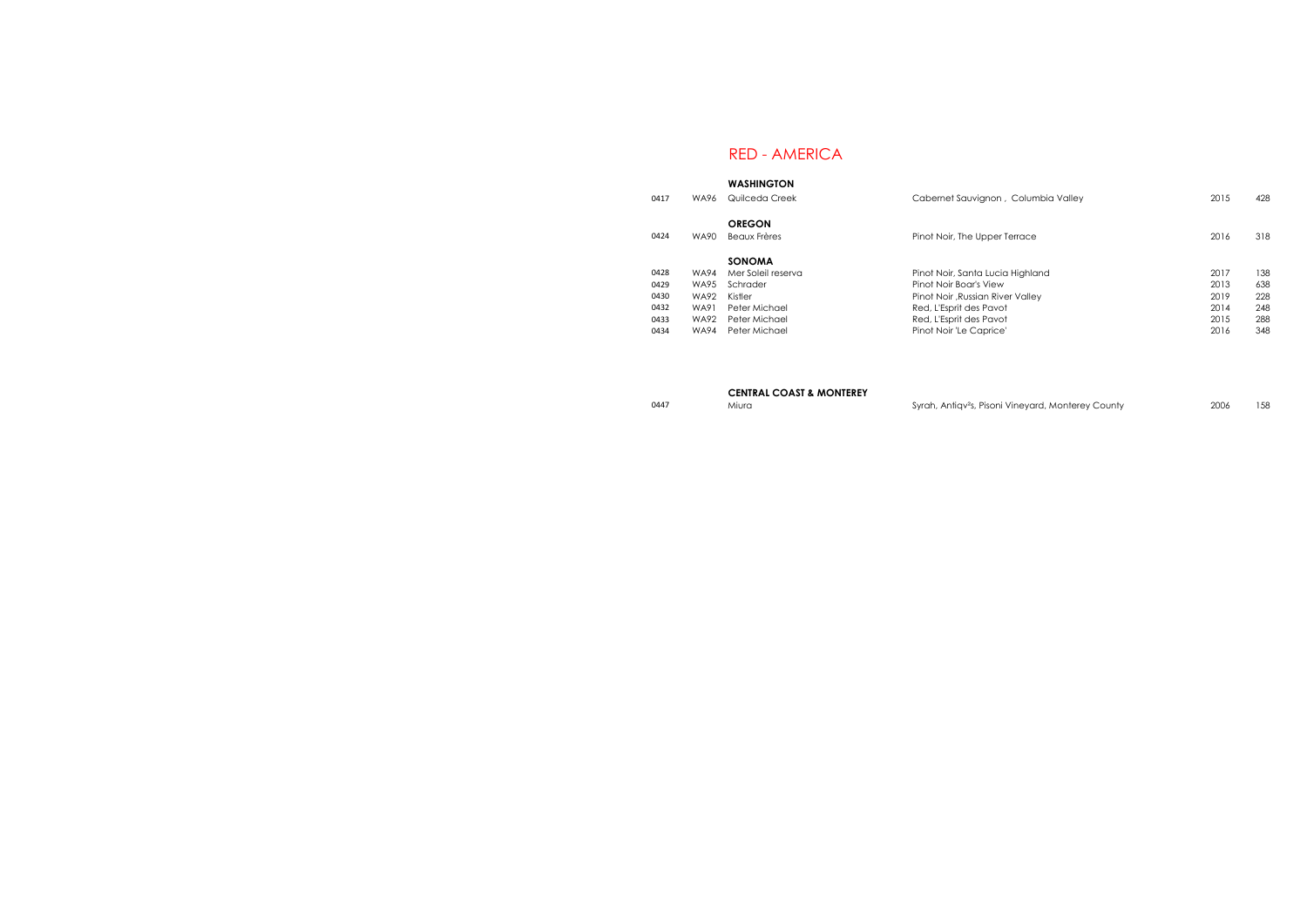# RED - AMERICA

| 0417 | WA96        | <b>WASHINGTON</b><br>Quilceda Creek  | Cabernet Sauvignon, Columbia Valley | 2015 | 428 |
|------|-------------|--------------------------------------|-------------------------------------|------|-----|
| 0424 | <b>WA90</b> | <b>OREGON</b><br><b>Beaux Frères</b> | Pinot Noir, The Upper Terrace       | 2016 | 318 |
|      |             | <b>SONOMA</b>                        |                                     |      |     |
| 0428 | WA94        | Mer Soleil reserva                   | Pinot Noir, Santa Lucia Highland    | 2017 | 138 |
| 0429 | <b>WA95</b> | Schrader                             | Pinot Noir Boar's View              | 2013 | 638 |
| 0430 | <b>WA92</b> | Kistler                              | Pinot Noir, Russian River Valley    | 2019 | 228 |
| 0432 | WA91        | Peter Michael                        | Red, L'Esprit des Pavot             | 2014 | 248 |
| 0433 | <b>WA92</b> | Peter Michael                        | Red, L'Esprit des Pavot             | 2015 | 288 |
| 0434 | <b>WA94</b> | Peter Michael                        | Pinot Noir 'Le Caprice'             | 2016 | 348 |
|      |             |                                      |                                     |      |     |

|      | <b>CENTRAL COAST &amp; MONTEREY</b> |                                    |  |
|------|-------------------------------------|------------------------------------|--|
| 0447 | Miura                               | Syrah, Antigy <sup>2</sup> s, Piso |  |

| soni Vineyard, Monterey County | 2006 | 158 |
|--------------------------------|------|-----|
|                                |      |     |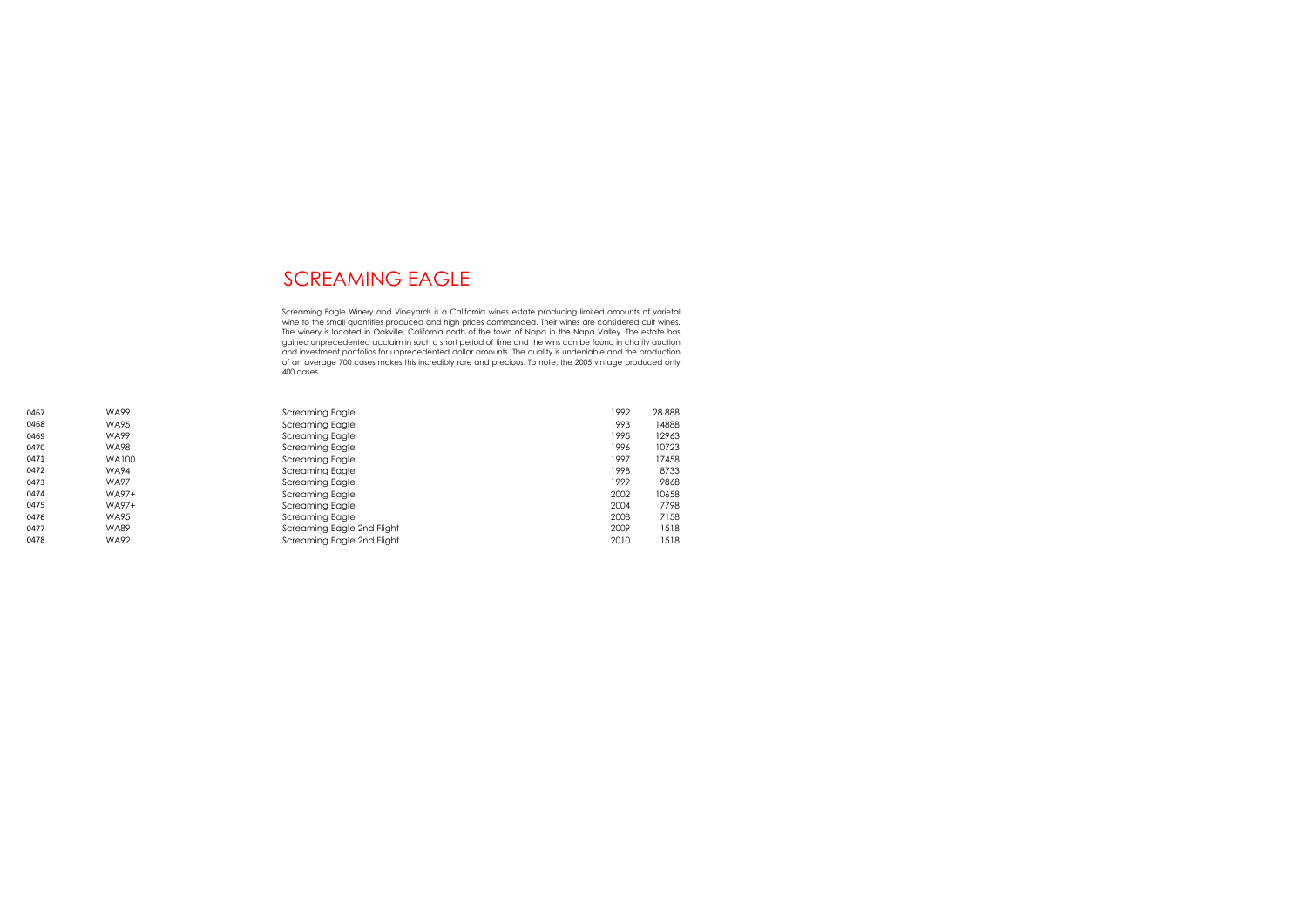# SCREAMING EAGLE

| 0467 | <b>WA99</b>  | Screaming Eagle            | 1992 | 28 8 88 |
|------|--------------|----------------------------|------|---------|
| 0468 | <b>WA95</b>  | <b>Screaming Eagle</b>     | 1993 | 14888   |
| 0469 | <b>WA99</b>  | <b>Screaming Eagle</b>     | 1995 | 12963   |
| 0470 | <b>WA98</b>  | <b>Screaming Eagle</b>     | 1996 | 10723   |
| 0471 | <b>WA100</b> | <b>Screaming Eagle</b>     | 1997 | 17458   |
| 0472 | <b>WA94</b>  | <b>Screaming Eagle</b>     | 1998 | 8733    |
| 0473 | <b>WA97</b>  | Screaming Eagle            | 1999 | 9868    |
| 0474 | WA97+        | Screaming Eagle            | 2002 | 10658   |
| 0475 | WA97+        | Screaming Eagle            | 2004 | 7798    |
| 0476 | <b>WA95</b>  | Screaming Eagle            | 2008 | 7158    |
| 0477 | <b>WA89</b>  | Screaming Eagle 2nd Flight | 2009 | 1518    |
| 0478 | <b>WA92</b>  | Screaming Eagle 2nd Flight | 2010 | 1518    |
|      |              |                            |      |         |

Screaming Eagle Winery and Vineyards is a California wines estate producing limited amounts of varietal wine to the small quantities produced and high prices commanded. Their wines are considered cult wines. The winery is located in Oakville, California north of the town of Napa in the Napa Valley. The estate has gained unprecedented acclaim in such a short period of time and the wins can be found in charity auction and investment portfolios for unprecedented dollar amounts. The quality is undeniable and the production of an average 700 cases makes this incredibly rare and precious. To note, the 2005 vintage produced only 400 cases.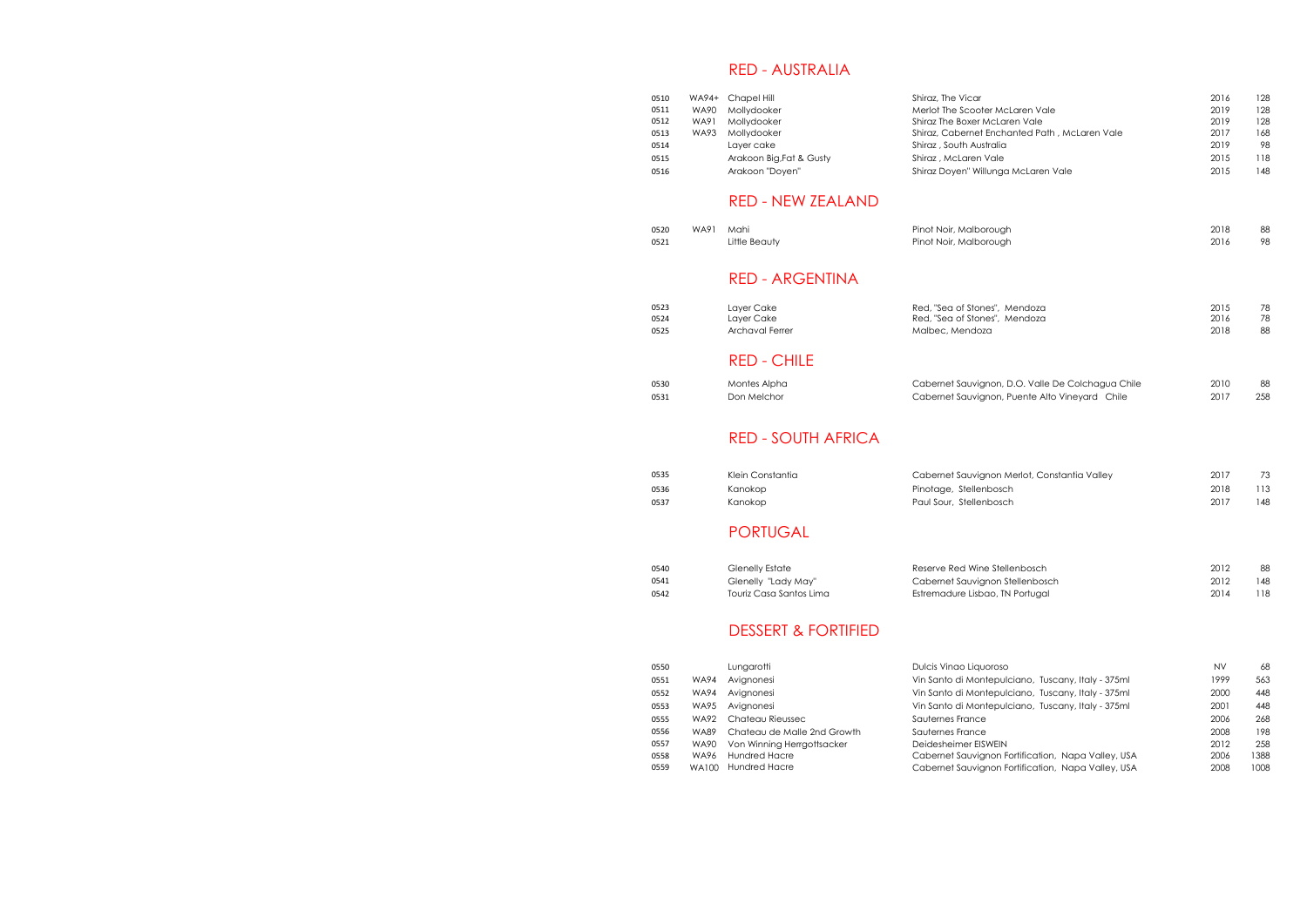# RED - AUSTRALIA

| 0510<br>0511<br>0512<br>0513<br>0514<br>0515<br>0516 | WA94+<br><b>WA90</b><br>WA91<br><b>WA93</b> | Chapel Hill<br>Mollydooker<br>Mollydooker<br>Mollydooker<br>Layer cake<br>Arakoon Big, Fat & Gusty<br>Arakoon "Doyen"<br><b>RED - NEW ZEALAND</b> | Shiraz, The Vicar<br>Merlot The Scooter McLaren Vale<br>Shiraz The Boxer McLaren Vale<br>Shiraz, Cabernet Enchanted Path, McLaren Vale<br>Shiraz, South Australia<br>Shiraz, McLaren Vale<br>Shiraz Doyen" Willunga McLaren Vale | 2016<br>2019<br>2019<br>2017<br>2019<br>2015<br>2015 | 128<br>128<br>128<br>168<br>98<br>118<br>148 |
|------------------------------------------------------|---------------------------------------------|---------------------------------------------------------------------------------------------------------------------------------------------------|----------------------------------------------------------------------------------------------------------------------------------------------------------------------------------------------------------------------------------|------------------------------------------------------|----------------------------------------------|
| 0520<br>0521                                         | WA91                                        | Mahi<br>Little Beauty                                                                                                                             | Pinot Noir, Malborough<br>Pinot Noir, Malborough                                                                                                                                                                                 | 2018<br>2016                                         | 88<br>98                                     |
|                                                      |                                             | <b>RED - ARGENTINA</b>                                                                                                                            |                                                                                                                                                                                                                                  |                                                      |                                              |
| 0523<br>0524<br>0525                                 |                                             | Layer Cake<br>Layer Cake<br>Archaval Ferrer                                                                                                       | Red, "Sea of Stones", Mendoza<br>Red, "Sea of Stones", Mendoza<br>Malbec, Mendoza                                                                                                                                                | 2015<br>2016<br>2018                                 | 78<br>78<br>88                               |
|                                                      |                                             | <b>RED - CHILE</b>                                                                                                                                |                                                                                                                                                                                                                                  |                                                      |                                              |
| 0530<br>0531                                         |                                             | Montes Alpha<br>Don Melchor                                                                                                                       | Cabernet Sauvignon, D.O. Valle De Colchagua Chile<br>Cabernet Sauvignon, Puente Alto Vineyard Chile                                                                                                                              | 2010<br>2017                                         | 88<br>258                                    |
|                                                      |                                             | <b>RED - SOUTH AFRICA</b>                                                                                                                         |                                                                                                                                                                                                                                  |                                                      |                                              |
| 0535                                                 |                                             | Klein Constantia                                                                                                                                  | Cabernet Sauvignon Merlot, Constantia Valley                                                                                                                                                                                     | 2017                                                 | 73                                           |
| 0536<br>0537                                         |                                             | Kanokop<br>Kanokop                                                                                                                                | Pinotage, Stellenbosch<br>Paul Sour, Stellenbosch                                                                                                                                                                                | 2018<br>2017                                         | 113<br>148                                   |
|                                                      |                                             | <b>PORTUGAL</b>                                                                                                                                   |                                                                                                                                                                                                                                  |                                                      |                                              |
| 0540                                                 |                                             | <b>Glenelly Estate</b>                                                                                                                            | Reserve Red Wine Stellenbosch                                                                                                                                                                                                    | 2012                                                 | 88                                           |
| 0541<br>0542                                         |                                             | Glenelly "Lady May"<br>Touriz Casa Santos Lima                                                                                                    | Cabernet Sauvignon Stellenbosch<br>Estremadure Lisbao, TN Portugal                                                                                                                                                               | 2012<br>2014                                         | 148<br>118                                   |
|                                                      |                                             | <b>DESSERT &amp; FORTIFIED</b>                                                                                                                    |                                                                                                                                                                                                                                  |                                                      |                                              |
| 0550                                                 |                                             | Lungarotti                                                                                                                                        | Dulcis Vinao Liquoroso                                                                                                                                                                                                           | NV                                                   | 68                                           |
| 0551                                                 | WA94                                        | Avignonesi                                                                                                                                        | Vin Santo di Montepulciano, Tuscany, Italy - 375ml                                                                                                                                                                               | 1999                                                 | 563                                          |
| 0552                                                 | <b>WA94</b>                                 | Avignonesi                                                                                                                                        | Vin Santo di Montepulciano, Tuscany, Italy - 375ml                                                                                                                                                                               | 2000                                                 | 448                                          |
| 0553                                                 | <b>WA95</b>                                 | Avignonesi                                                                                                                                        | Vin Santo di Montepulciano, Tuscany, Italy - 375ml                                                                                                                                                                               | 2001                                                 | 448                                          |
| 0555                                                 | WA92                                        | Chateau Rieussec                                                                                                                                  | Sauternes France                                                                                                                                                                                                                 | 2006                                                 | 268                                          |
| 0556                                                 | <b>WA89</b>                                 | Chateau de Malle 2nd Growth                                                                                                                       | Sauternes France                                                                                                                                                                                                                 | 2008                                                 | 198                                          |
| 0557<br>0558                                         | <b>WA90</b><br>WA96                         | Von Winning Herrgottsacker<br><b>Hundred Hacre</b>                                                                                                | Deidesheimer EISWEIN<br>Cabernet Sauvignon Fortification, Napa Valley, USA                                                                                                                                                       | 2012<br>2006                                         | 258<br>1388                                  |
| 0559                                                 |                                             | WA100 Hundred Hacre                                                                                                                               | Cabernet Sauvianon Fortification. Napa Valley, USA                                                                                                                                                                               | 2008                                                 | 1008                                         |

| 0510<br>0511<br>0512<br>0513<br>0514<br>0515<br>0516 | WA94+<br><b>WA90</b><br>WA91<br><b>WA93</b> | Chapel Hill<br>Mollydooker<br>Mollydooker<br>Mollydooker<br>Layer cake<br>Arakoon Big, Fat & Gusty<br>Arakoon "Doyen"<br><b>RED - NEW ZEALAND</b> | Shiraz, The Vicar<br>Merlot The Scooter McLaren Vale<br>Shiraz The Boxer McLaren Vale<br>Shiraz, Cabernet Enchanted Path, McLaren Vale<br>Shiraz, South Australia<br>Shiraz, McLaren Vale<br>Shiraz Doyen" Willunga McLaren Vale | 2016<br>2019<br>2019<br>2017<br>2019<br>2015<br>2015 | 128<br>128<br>128<br>168<br>98<br>118<br>148 |
|------------------------------------------------------|---------------------------------------------|---------------------------------------------------------------------------------------------------------------------------------------------------|----------------------------------------------------------------------------------------------------------------------------------------------------------------------------------------------------------------------------------|------------------------------------------------------|----------------------------------------------|
| 0520<br>0521                                         | WA91                                        | Mahi<br>Little Beauty                                                                                                                             | Pinot Noir, Malborough<br>Pinot Noir, Malborough                                                                                                                                                                                 | 2018<br>2016                                         | 88<br>98                                     |
|                                                      |                                             | <b>RED - ARGENTINA</b>                                                                                                                            |                                                                                                                                                                                                                                  |                                                      |                                              |
| 0523<br>0524<br>0525                                 |                                             | Layer Cake<br>Layer Cake<br>Archaval Ferrer                                                                                                       | Red, "Sea of Stones", Mendoza<br>Red, "Sea of Stones", Mendoza<br>Malbec, Mendoza                                                                                                                                                | 2015<br>2016<br>2018                                 | 78<br>78<br>88                               |
|                                                      |                                             | <b>RED - CHILE</b>                                                                                                                                |                                                                                                                                                                                                                                  |                                                      |                                              |
| 0530<br>0531                                         |                                             | Montes Alpha<br>Don Melchor                                                                                                                       | Cabernet Sauvignon, D.O. Valle De Colchagua Chile<br>Cabernet Sauvignon, Puente Alto Vineyard Chile                                                                                                                              | 2010<br>2017                                         | 88<br>258                                    |
|                                                      |                                             | <b>RED - SOUTH AFRICA</b>                                                                                                                         |                                                                                                                                                                                                                                  |                                                      |                                              |
| 0535                                                 |                                             | Klein Constantia                                                                                                                                  | Cabernet Sauvignon Merlot, Constantia Valley                                                                                                                                                                                     | 2017                                                 | 73                                           |
| 0536<br>0537                                         |                                             | Kanokop<br>Kanokop                                                                                                                                | Pinotage, Stellenbosch<br>Paul Sour, Stellenbosch                                                                                                                                                                                | 2018<br>2017                                         | 113<br>148                                   |
|                                                      |                                             | <b>PORTUGAL</b>                                                                                                                                   |                                                                                                                                                                                                                                  |                                                      |                                              |
| 0540                                                 |                                             | <b>Glenelly Estate</b>                                                                                                                            | Reserve Red Wine Stellenbosch                                                                                                                                                                                                    | 2012                                                 | 88                                           |
| 0541<br>0542                                         |                                             | Glenelly "Lady May"<br>Touriz Casa Santos Lima                                                                                                    | Cabernet Sauvignon Stellenbosch<br>Estremadure Lisbao, TN Portugal                                                                                                                                                               | 2012<br>2014                                         | 148<br>118                                   |
|                                                      |                                             | <b>DESSERT &amp; FORTIFIED</b>                                                                                                                    |                                                                                                                                                                                                                                  |                                                      |                                              |
| 0550                                                 |                                             | Lungarotti                                                                                                                                        | Dulcis Vinao Liquoroso                                                                                                                                                                                                           | NV.                                                  | 68                                           |
| 0551                                                 | WA94                                        | Avignonesi                                                                                                                                        | Vin Santo di Montepulciano, Tuscany, Italy - 375ml                                                                                                                                                                               | 1999                                                 | 563                                          |
| 0552                                                 | <b>WA94</b>                                 | Avignonesi                                                                                                                                        | Vin Santo di Montepulciano, Tuscany, Italy - 375ml                                                                                                                                                                               | 2000                                                 | 448                                          |
| 0553                                                 | <b>WA95</b>                                 | Avignonesi<br>Chateau Rieussec                                                                                                                    | Vin Santo di Montepulciano, Tuscany, Italy - 375ml                                                                                                                                                                               | 2001                                                 | 448                                          |
| 0555<br>0556                                         | <b>WA92</b><br><b>WA89</b>                  | Chateau de Malle 2nd Growth                                                                                                                       | Sauternes France<br>Sauternes France                                                                                                                                                                                             | 2006<br>2008                                         | 268<br>198                                   |
| 0557                                                 | <b>WA90</b>                                 | Von Winning Herrgottsacker                                                                                                                        | Deidesheimer EISWEIN                                                                                                                                                                                                             | 2012                                                 | 258                                          |
| 0558                                                 | WA96                                        | <b>Hundred Hacre</b>                                                                                                                              | Cabernet Sauvignon Fortification, Napa Valley, USA                                                                                                                                                                               | 2006                                                 | 1388                                         |
| 0559                                                 |                                             | WA100 Hundred Hacre                                                                                                                               | Cabernet Sauvianon Fortification. Napa Valley, USA                                                                                                                                                                               | 2008                                                 | 1008                                         |

| 1510<br>511<br>1512<br>1513<br>1514<br>1515<br>1516 | WA94+<br><b>WA90</b><br><b>WA91</b><br><b>WA93</b> | Chapel Hill<br>Mollydooker<br>Mollydooker<br>Mollydooker<br>Layer cake<br>Arakoon Big, Fat & Gusty<br>Arakoon "Doyen"<br><b>RED - NEW ZEALAND</b> | Shiraz, The Vicar<br>Merlot The Scooter McLaren Vale<br>Shiraz The Boxer McLaren Vale<br>Shiraz, Cabernet Enchanted Path, McLaren Vale<br>Shiraz, South Australia<br>Shiraz, McLaren Vale<br>Shiraz Doyen" Willunga McLaren Vale | 2016<br>2019<br>2019<br>2017<br>2019<br>2015<br>2015 | 128<br>128<br>128<br>168<br>98<br>118<br>148 |
|-----------------------------------------------------|----------------------------------------------------|---------------------------------------------------------------------------------------------------------------------------------------------------|----------------------------------------------------------------------------------------------------------------------------------------------------------------------------------------------------------------------------------|------------------------------------------------------|----------------------------------------------|
| 1520<br>1521                                        | WA91                                               | Mahi<br>Little Beauty                                                                                                                             | Pinot Noir, Malborough<br>Pinot Noir, Malborough                                                                                                                                                                                 | 2018<br>2016                                         | 88<br>98                                     |
|                                                     |                                                    | <b>RED - ARGENTINA</b>                                                                                                                            |                                                                                                                                                                                                                                  |                                                      |                                              |
| 1523<br>1524<br>1525                                |                                                    | Layer Cake<br>Layer Cake<br>Archaval Ferrer                                                                                                       | Red, "Sea of Stones", Mendoza<br>Red, "Sea of Stones", Mendoza<br>Malbec, Mendoza                                                                                                                                                | 2015<br>2016<br>2018                                 | 78<br>78<br>88                               |
|                                                     |                                                    | <b>RED - CHILE</b>                                                                                                                                |                                                                                                                                                                                                                                  |                                                      |                                              |
| 1530<br>1531                                        |                                                    | Montes Alpha<br>Don Melchor                                                                                                                       | Cabernet Sauvignon, D.O. Valle De Colchagua Chile<br>Cabernet Sauvignon, Puente Alto Vineyard Chile                                                                                                                              | 2010<br>2017                                         | 88<br>258                                    |
|                                                     |                                                    | <b>RED - SOUTH AFRICA</b>                                                                                                                         |                                                                                                                                                                                                                                  |                                                      |                                              |
| 1535                                                |                                                    | Klein Constantia                                                                                                                                  | Cabernet Sauvignon Merlot, Constantia Valley                                                                                                                                                                                     | 2017                                                 | 73                                           |
| 1536<br>1537                                        |                                                    | Kanokop<br>Kanokop                                                                                                                                | Pinotage, Stellenbosch<br>Paul Sour, Stellenbosch                                                                                                                                                                                | 2018<br>2017                                         | 113<br>148                                   |
|                                                     |                                                    | <b>PORTUGAL</b>                                                                                                                                   |                                                                                                                                                                                                                                  |                                                      |                                              |
| 1540                                                |                                                    | <b>Glenelly Estate</b>                                                                                                                            | Reserve Red Wine Stellenbosch                                                                                                                                                                                                    | 2012                                                 | 88                                           |
| 1541<br>1542                                        |                                                    | Glenelly "Lady May"<br>Touriz Casa Santos Lima                                                                                                    | Cabernet Sauvignon Stellenbosch<br>Estremadure Lisbao, TN Portugal                                                                                                                                                               | 2012<br>2014                                         | 148<br>118                                   |
|                                                     |                                                    | <b>DESSERT &amp; FORTIFIED</b>                                                                                                                    |                                                                                                                                                                                                                                  |                                                      |                                              |
| 1550                                                |                                                    | Lungarotti                                                                                                                                        | Dulcis Vinao Liquoroso                                                                                                                                                                                                           | NV.                                                  | 68                                           |
| 1551                                                | WA94                                               | Avignonesi                                                                                                                                        | Vin Santo di Montepulciano, Tuscany, Italy - 375ml                                                                                                                                                                               | 1999                                                 | 563                                          |
| 1552                                                | <b>WA94</b>                                        | Avignonesi                                                                                                                                        | Vin Santo di Montepulciano, Tuscany, Italy - 375ml                                                                                                                                                                               | 2000                                                 | 448                                          |
| 1553                                                | <b>WA95</b>                                        | Avignonesi<br>Chateau Rieussec                                                                                                                    | Vin Santo di Montepulciano, Tuscany, Italy - 375ml                                                                                                                                                                               | 2001                                                 | 448                                          |
| 1555<br>1556                                        | <b>WA92</b><br><b>WA89</b>                         | Chateau de Malle 2nd Growth                                                                                                                       | Sauternes France<br>Sauternes France                                                                                                                                                                                             | 2006<br>2008                                         | 268<br>198                                   |
| 1557                                                | <b>WA90</b>                                        | Von Winning Herrgottsacker                                                                                                                        | Deidesheimer EISWEIN                                                                                                                                                                                                             | 2012                                                 | 258                                          |
| 1558                                                | WA96                                               | <b>Hundred Hacre</b>                                                                                                                              | Cabernet Sauvignon Fortification, Napa Valley, USA                                                                                                                                                                               | 2006                                                 | 1388                                         |
| 1559                                                |                                                    | WA100 Hundred Hacre                                                                                                                               | Cabernet Sauvianon Fortification. Napa Valley, USA                                                                                                                                                                               | 2008                                                 | 1008                                         |

| 0510<br>0511<br>0512<br>0513<br>0514<br>0515<br>0516 | WA94+<br><b>WA90</b><br>WA91<br><b>WA93</b> | Chapel Hill<br>Mollydooker<br>Mollydooker<br>Mollydooker<br>Layer cake<br>Arakoon Big, Fat & Gusty<br>Arakoon "Doyen"<br><b>RED - NEW ZEALAND</b> | Shiraz, The Vicar<br>Merlot The Scooter McLaren Vale<br>Shiraz The Boxer McLaren Vale<br>Shiraz, Cabernet Enchanted Path, McLaren Vale<br>Shiraz, South Australia<br>Shiraz, McLaren Vale<br>Shiraz Doyen" Willunga McLaren Vale | 2016<br>2019<br>2019<br>2017<br>2019<br>2015<br>2015 | 128<br>128<br>128<br>168<br>98<br>118<br>148 |
|------------------------------------------------------|---------------------------------------------|---------------------------------------------------------------------------------------------------------------------------------------------------|----------------------------------------------------------------------------------------------------------------------------------------------------------------------------------------------------------------------------------|------------------------------------------------------|----------------------------------------------|
| 0520<br>0521                                         | WA91                                        | Mahi<br>Little Beauty                                                                                                                             | Pinot Noir, Malborough<br>Pinot Noir, Malborough                                                                                                                                                                                 | 2018<br>2016                                         | 88<br>98                                     |
|                                                      |                                             | <b>RED - ARGENTINA</b>                                                                                                                            |                                                                                                                                                                                                                                  |                                                      |                                              |
| 0523<br>0524<br>0525                                 |                                             | Layer Cake<br>Layer Cake<br>Archaval Ferrer                                                                                                       | Red, "Sea of Stones", Mendoza<br>Red, "Sea of Stones", Mendoza<br>Malbec, Mendoza                                                                                                                                                | 2015<br>2016<br>2018                                 | 78<br>78<br>88                               |
|                                                      |                                             | <b>RED - CHILE</b>                                                                                                                                |                                                                                                                                                                                                                                  |                                                      |                                              |
| 0530<br>0531                                         |                                             | Montes Alpha<br>Don Melchor                                                                                                                       | Cabernet Sauvignon, D.O. Valle De Colchagua Chile<br>Cabernet Sauvignon, Puente Alto Vineyard Chile                                                                                                                              | 2010<br>2017                                         | 88<br>258                                    |
|                                                      |                                             | <b>RED - SOUTH AFRICA</b>                                                                                                                         |                                                                                                                                                                                                                                  |                                                      |                                              |
| 0535                                                 |                                             | Klein Constantia                                                                                                                                  | Cabernet Sauvignon Merlot, Constantia Valley                                                                                                                                                                                     | 2017                                                 | 73                                           |
| 0536<br>0537                                         |                                             | Kanokop<br>Kanokop                                                                                                                                | Pinotage, Stellenbosch<br>Paul Sour, Stellenbosch                                                                                                                                                                                | 2018<br>2017                                         | 113<br>148                                   |
|                                                      |                                             | <b>PORTUGAL</b>                                                                                                                                   |                                                                                                                                                                                                                                  |                                                      |                                              |
| 0540                                                 |                                             | <b>Glenelly Estate</b>                                                                                                                            | Reserve Red Wine Stellenbosch                                                                                                                                                                                                    | 2012                                                 | 88                                           |
| 0541<br>0542                                         |                                             | Glenelly "Lady May"<br>Touriz Casa Santos Lima                                                                                                    | Cabernet Sauvignon Stellenbosch<br>Estremadure Lisbao, TN Portugal                                                                                                                                                               | 2012<br>2014                                         | 148<br>118                                   |
|                                                      |                                             | <b>DESSERT &amp; FORTIFIED</b>                                                                                                                    |                                                                                                                                                                                                                                  |                                                      |                                              |
| 0550                                                 |                                             | Lungarotti                                                                                                                                        | Dulcis Vinao Liquoroso                                                                                                                                                                                                           | NV                                                   | 68                                           |
| 0551                                                 | WA94                                        | Avignonesi                                                                                                                                        | Vin Santo di Montepulciano, Tuscany, Italy - 375ml                                                                                                                                                                               | 1999                                                 | 563                                          |
| 0552                                                 | <b>WA94</b>                                 | Avignonesi                                                                                                                                        | Vin Santo di Montepulciano, Tuscany, Italy - 375ml                                                                                                                                                                               | 2000                                                 | 448                                          |
| 0553                                                 | <b>WA95</b>                                 | Avignonesi                                                                                                                                        | Vin Santo di Montepulciano, Tuscany, Italy - 375ml                                                                                                                                                                               | 2001                                                 | 448                                          |
| 0555                                                 | WA92                                        | Chateau Rieussec                                                                                                                                  | Sauternes France                                                                                                                                                                                                                 | 2006                                                 | 268                                          |
| 0556                                                 | <b>WA89</b>                                 | Chateau de Malle 2nd Growth                                                                                                                       | Sauternes France                                                                                                                                                                                                                 | 2008                                                 | 198                                          |
| 0557<br>0558                                         | <b>WA90</b><br>WA96                         | Von Winning Herrgottsacker<br><b>Hundred Hacre</b>                                                                                                | Deidesheimer EISWEIN<br>Cabernet Sauvignon Fortification, Napa Valley, USA                                                                                                                                                       | 2012<br>2006                                         | 258<br>1388                                  |
| 0559                                                 |                                             | WA100 Hundred Hacre                                                                                                                               | Cabernet Sauvianon Fortification. Napa Valley, USA                                                                                                                                                                               | 2008                                                 | 1008                                         |

| 0510<br>0511<br>0512<br>0513<br>0514<br>0515<br>0516 | WA94+<br><b>WA90</b><br>WA91<br><b>WA93</b> | Chapel Hill<br>Mollydooker<br>Mollydooker<br>Mollydooker<br>Layer cake<br>Arakoon Big, Fat & Gusty<br>Arakoon "Doyen" | Shiraz, The Vicar<br>Merlot The Scooter McLaren Vale<br>Shiraz The Boxer McLaren Vale<br>Shiraz, Cabernet Enchanted Path, McLaren Vale<br>Shiraz, South Australia<br>Shiraz, McLaren Vale<br>Shiraz Doyen" Willunga McLaren Vale | 2016<br>2019<br>2019<br>2017<br>2019<br>2015<br>2015 | 128<br>128<br>128<br>168<br>98<br>118<br>148 |
|------------------------------------------------------|---------------------------------------------|-----------------------------------------------------------------------------------------------------------------------|----------------------------------------------------------------------------------------------------------------------------------------------------------------------------------------------------------------------------------|------------------------------------------------------|----------------------------------------------|
|                                                      |                                             | <b>RED - NEW ZEALAND</b>                                                                                              |                                                                                                                                                                                                                                  |                                                      |                                              |
| 0520<br>0521                                         | WA91                                        | Mahi<br>Little Beauty                                                                                                 | Pinot Noir, Malborough<br>Pinot Noir, Malborough                                                                                                                                                                                 | 2018<br>2016                                         | 88<br>98                                     |
|                                                      |                                             | <b>RED - ARGENTINA</b>                                                                                                |                                                                                                                                                                                                                                  |                                                      |                                              |
| 0523                                                 |                                             | Layer Cake                                                                                                            | Red, "Sea of Stones", Mendoza                                                                                                                                                                                                    | 2015                                                 | 78                                           |
| 0524<br>0525                                         |                                             | Layer Cake<br>Archaval Ferrer                                                                                         | Red, "Sea of Stones", Mendoza<br>Malbec, Mendoza                                                                                                                                                                                 | 2016<br>2018                                         | 78<br>88                                     |
|                                                      |                                             |                                                                                                                       |                                                                                                                                                                                                                                  |                                                      |                                              |
|                                                      |                                             | <b>RED - CHILE</b>                                                                                                    |                                                                                                                                                                                                                                  |                                                      |                                              |
| 0530                                                 |                                             | Montes Alpha                                                                                                          | Cabernet Sauvignon, D.O. Valle De Colchagua Chile                                                                                                                                                                                | 2010                                                 | 88                                           |
| 0531                                                 |                                             | Don Melchor                                                                                                           | Cabernet Sauvignon, Puente Alto Vineyard Chile                                                                                                                                                                                   | 2017                                                 | 258                                          |
|                                                      |                                             | <b>RED - SOUTH AFRICA</b>                                                                                             |                                                                                                                                                                                                                                  |                                                      |                                              |
| 0535                                                 |                                             | Klein Constantia                                                                                                      | Cabernet Sauvignon Merlot, Constantia Valley                                                                                                                                                                                     | 2017                                                 | 73                                           |
| 0536                                                 |                                             | Kanokop                                                                                                               | Pinotage, Stellenbosch                                                                                                                                                                                                           | 2018                                                 | 113                                          |
| 0537                                                 |                                             | Kanokop                                                                                                               | Paul Sour, Stellenbosch                                                                                                                                                                                                          | 2017                                                 | 148                                          |
|                                                      |                                             | <b>PORTUGAL</b>                                                                                                       |                                                                                                                                                                                                                                  |                                                      |                                              |
| 0540                                                 |                                             | <b>Glenelly Estate</b>                                                                                                | Reserve Red Wine Stellenbosch                                                                                                                                                                                                    | 2012                                                 | 88                                           |
| 0541                                                 |                                             | Glenelly "Lady May"                                                                                                   | Cabernet Sauvignon Stellenbosch                                                                                                                                                                                                  | 2012                                                 | 148                                          |
| 0542                                                 |                                             | Touriz Casa Santos Lima                                                                                               | Estremadure Lisbao, TN Portugal                                                                                                                                                                                                  | 2014                                                 | 118                                          |
|                                                      |                                             | <b>DESSERT &amp; FORTIFIED</b>                                                                                        |                                                                                                                                                                                                                                  |                                                      |                                              |
| 0550                                                 |                                             | Lungarotti                                                                                                            | Dulcis Vinao Liquoroso                                                                                                                                                                                                           | NV                                                   | 68                                           |
| 0551                                                 | WA94                                        | Avignonesi                                                                                                            | Vin Santo di Montepulciano, Tuscany, Italy - 375ml                                                                                                                                                                               | 1999                                                 | 563                                          |
| 0552                                                 | <b>WA94</b>                                 | Avignonesi                                                                                                            | Vin Santo di Montepulciano, Tuscany, Italy - 375ml                                                                                                                                                                               | 2000                                                 | 448                                          |
| 0553                                                 | <b>WA95</b>                                 | Avignonesi<br>Chateau Rieussec                                                                                        | Vin Santo di Montepulciano, Tuscany, Italy - 375ml<br>Sauternes France                                                                                                                                                           | 2001                                                 | 448                                          |
| 0555<br>0556                                         | WA92<br><b>WA89</b>                         | Chateau de Malle 2nd Growth                                                                                           | Sauternes France                                                                                                                                                                                                                 | 2006<br>2008                                         | 268<br>198                                   |
| 0557                                                 | <b>WA90</b>                                 | Von Winning Herrgottsacker                                                                                            | Deidesheimer EISWEIN                                                                                                                                                                                                             | 2012                                                 | 258                                          |
| 0558                                                 | WA96                                        | Hundred Hacre                                                                                                         | Cabernet Sauvignon Fortification, Napa Valley, USA                                                                                                                                                                               | 2006                                                 | 1388                                         |
| 0559                                                 |                                             | WA100 Hundred Hacre                                                                                                   | Cabernet Sauvianon Fortification. Napa Valley, USA                                                                                                                                                                               | 2008                                                 | 1008                                         |

| 550 |             | Lungarotti                  | Dulcis Vinao I |
|-----|-------------|-----------------------------|----------------|
| 551 | <b>WA94</b> | Avignonesi                  | Vin Santo di M |
| 552 | <b>WA94</b> | Avignonesi                  | Vin Santo di M |
| 553 | <b>WA95</b> | Avignonesi                  | Vin Santo di M |
| 555 | WA92        | Chateau Rieussec            | Sauternes Fra  |
| 556 | <b>WA89</b> | Chateau de Malle 2nd Growth | Sauternes Fra  |
| 557 | WA90        | Von Winning Herrgottsacker  | Deidesheimer   |
| 558 | WA96        | <b>Hundred Hacre</b>        | Cabernet Say   |
| 559 | WA100       | <b>Hundred Hacre</b>        | Cabernet Say   |
|     |             |                             |                |

| 10<br>11<br>12<br>13<br>14<br>15<br>16 | WA94+<br><b>WA90</b><br><b>WA91</b><br><b>WA93</b> | Chapel Hill<br>Mollydooker<br>Mollydooker<br>Mollydooker<br>Layer cake<br>Arakoon Big, Fat & Gusty<br>Arakoon "Doyen" | Shiraz, The Vicar<br>Merlot The Scooter McLaren Vale<br>Shiraz The Boxer McLaren Vale<br>Shiraz, Cabernet Enchanted Path, McLaren Vale<br>Shiraz, South Australia<br>Shiraz, McLaren Vale<br>Shiraz Doyen" Willunga McLaren Vale | 2016<br>2019<br>2019<br>2017<br>2019<br>2015<br>2015 | 128<br>128<br>128<br>168<br>98<br>118<br>148 |
|----------------------------------------|----------------------------------------------------|-----------------------------------------------------------------------------------------------------------------------|----------------------------------------------------------------------------------------------------------------------------------------------------------------------------------------------------------------------------------|------------------------------------------------------|----------------------------------------------|
|                                        |                                                    | <b>RED - NEW ZEALAND</b>                                                                                              |                                                                                                                                                                                                                                  |                                                      |                                              |
| 20<br>21                               | WA91                                               | Mahi<br>Little Beauty                                                                                                 | Pinot Noir, Malborough<br>Pinot Noir, Malborough                                                                                                                                                                                 | 2018<br>2016                                         | 88<br>98                                     |
|                                        |                                                    | <b>RED - ARGENTINA</b>                                                                                                |                                                                                                                                                                                                                                  |                                                      |                                              |
| 23                                     |                                                    | Layer Cake                                                                                                            | Red, "Sea of Stones", Mendoza                                                                                                                                                                                                    | 2015                                                 | 78                                           |
| 24<br>25                               |                                                    | Layer Cake<br>Archaval Ferrer                                                                                         | Red, "Sea of Stones", Mendoza<br>Malbec, Mendoza                                                                                                                                                                                 | 2016<br>2018                                         | 78<br>88                                     |
|                                        |                                                    | <b>RED - CHILE</b>                                                                                                    |                                                                                                                                                                                                                                  |                                                      |                                              |
| 30<br>31                               |                                                    | Montes Alpha<br>Don Melchor                                                                                           | Cabernet Sauvignon, D.O. Valle De Colchagua Chile<br>Cabernet Sauvignon, Puente Alto Vineyard Chile                                                                                                                              | 2010<br>2017                                         | 88<br>258                                    |
|                                        |                                                    | <b>RED - SOUTH AFRICA</b>                                                                                             |                                                                                                                                                                                                                                  |                                                      |                                              |
| 35                                     |                                                    | Klein Constantia                                                                                                      | Cabernet Sauvignon Merlot, Constantia Valley                                                                                                                                                                                     | 2017                                                 | 73                                           |
| 36<br>37                               |                                                    | Kanokop<br>Kanokop                                                                                                    | Pinotage, Stellenbosch<br>Paul Sour, Stellenbosch                                                                                                                                                                                | 2018<br>2017                                         | 113<br>148                                   |
|                                        |                                                    | <b>PORTUGAL</b>                                                                                                       |                                                                                                                                                                                                                                  |                                                      |                                              |
| 40                                     |                                                    | <b>Glenelly Estate</b>                                                                                                | Reserve Red Wine Stellenbosch                                                                                                                                                                                                    | 2012                                                 | 88                                           |
| 41                                     |                                                    | Glenelly "Lady May"                                                                                                   | Cabernet Sauvignon Stellenbosch                                                                                                                                                                                                  | 2012                                                 | 148                                          |
| 42                                     |                                                    | Touriz Casa Santos Lima<br><b>DESSERT &amp; FORTIFIED</b>                                                             | Estremadure Lisbao, TN Portugal                                                                                                                                                                                                  | 2014                                                 | 118                                          |
|                                        |                                                    |                                                                                                                       |                                                                                                                                                                                                                                  |                                                      |                                              |
| 50                                     |                                                    | Lungarotti                                                                                                            | Dulcis Vinao Liquoroso                                                                                                                                                                                                           | <b>NV</b>                                            | 68                                           |
| 51<br>52                               | WA94<br><b>WA94</b>                                | Avignonesi<br>Avignonesi                                                                                              | Vin Santo di Montepulciano, Tuscany, Italy - 375ml<br>Vin Santo di Montepulciano, Tuscany, Italy - 375ml                                                                                                                         | 1999<br>2000                                         | 563<br>448                                   |
| 53                                     | <b>WA95</b>                                        | Avignonesi                                                                                                            | Vin Santo di Montepulciano, Tuscany, Italy - 375ml                                                                                                                                                                               | 2001                                                 | 448                                          |
| 55                                     | <b>WA92</b>                                        | Chateau Rieussec                                                                                                      | Sauternes France                                                                                                                                                                                                                 | 2006                                                 | 268                                          |
| 56                                     | <b>WA89</b>                                        | Chateau de Malle 2nd Growth                                                                                           | Sauternes France                                                                                                                                                                                                                 | 2008                                                 | 198                                          |
| 57<br>58                               | <b>WA90</b><br>WA96                                | Von Winning Herrgottsacker<br><b>Hundred Hacre</b>                                                                    | Deidesheimer EISWEIN<br>Cabernet Sauvignon Fortification, Napa Valley, USA                                                                                                                                                       | 2012<br>2006                                         | 258<br>1388                                  |
| 59                                     | <b>WA100</b>                                       | <b>Hundred Hacre</b>                                                                                                  | Cabernet Sauvignon Fortification, Napa Valley, USA                                                                                                                                                                               | 2008                                                 | 1008                                         |
|                                        |                                                    |                                                                                                                       |                                                                                                                                                                                                                                  |                                                      |                                              |